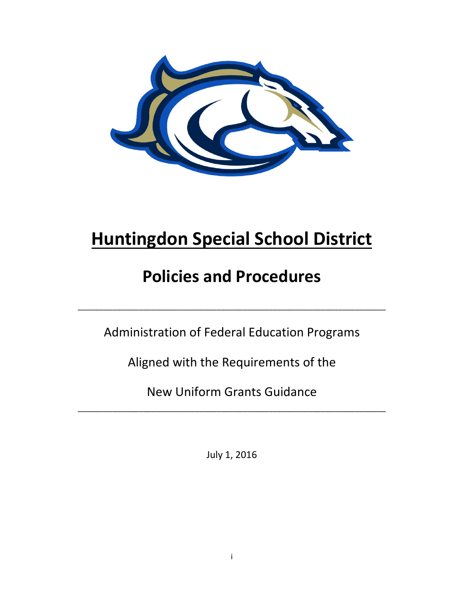

# **Huntingdon Special School District**

# **Policies and Procedures**

Administration of Federal Education Programs

\_\_\_\_\_\_\_\_\_\_\_\_\_\_\_\_\_\_\_\_\_\_\_\_\_\_\_\_\_\_\_\_\_\_\_\_\_\_\_\_\_\_\_\_\_\_\_\_\_\_\_\_\_\_\_\_\_\_\_\_\_\_\_\_\_\_\_\_\_\_\_

Aligned with the Requirements of the

New Uniform Grants Guidance

\_\_\_\_\_\_\_\_\_\_\_\_\_\_\_\_\_\_\_\_\_\_\_\_\_\_\_\_\_\_\_\_\_\_\_\_\_\_\_\_\_\_\_\_\_\_\_\_\_\_\_\_\_\_\_\_\_\_\_\_\_\_\_\_\_\_\_\_\_\_\_

July 1, 2016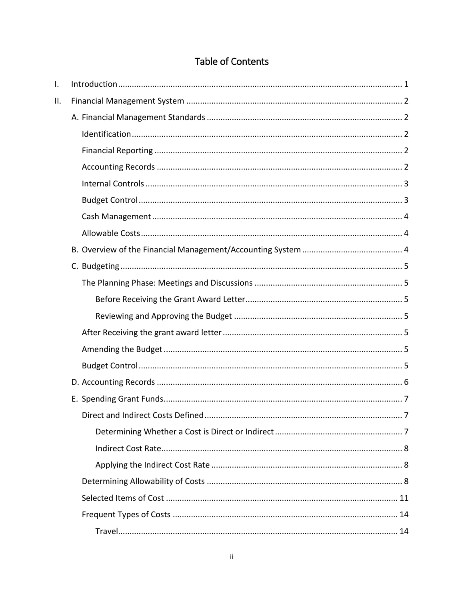# Table of Contents

| I.  |  |
|-----|--|
| ΙΙ. |  |
|     |  |
|     |  |
|     |  |
|     |  |
|     |  |
|     |  |
|     |  |
|     |  |
|     |  |
|     |  |
|     |  |
|     |  |
|     |  |
|     |  |
|     |  |
|     |  |
|     |  |
|     |  |
|     |  |
|     |  |
|     |  |
|     |  |
|     |  |
|     |  |
|     |  |
|     |  |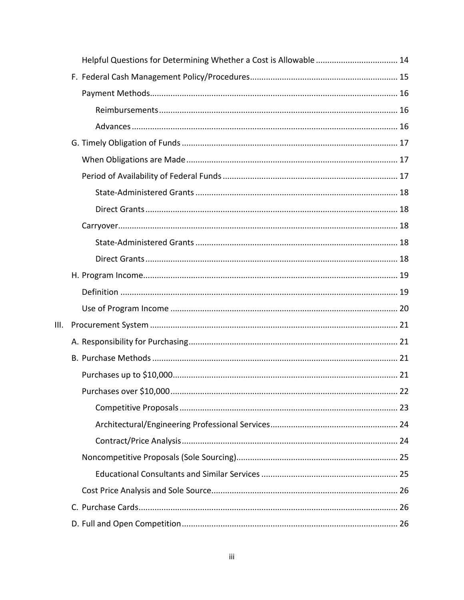|      | Helpful Questions for Determining Whether a Cost is Allowable  14 |    |
|------|-------------------------------------------------------------------|----|
|      |                                                                   |    |
|      |                                                                   |    |
|      |                                                                   |    |
|      |                                                                   |    |
|      |                                                                   |    |
|      |                                                                   |    |
|      |                                                                   |    |
|      |                                                                   |    |
|      |                                                                   |    |
|      |                                                                   |    |
|      |                                                                   |    |
|      |                                                                   |    |
|      |                                                                   |    |
|      |                                                                   |    |
|      |                                                                   |    |
| III. |                                                                   |    |
|      |                                                                   |    |
|      |                                                                   |    |
|      |                                                                   |    |
|      |                                                                   | 22 |
|      |                                                                   |    |
|      |                                                                   |    |
|      |                                                                   |    |
|      |                                                                   |    |
|      |                                                                   |    |
|      |                                                                   |    |
|      |                                                                   |    |
|      |                                                                   |    |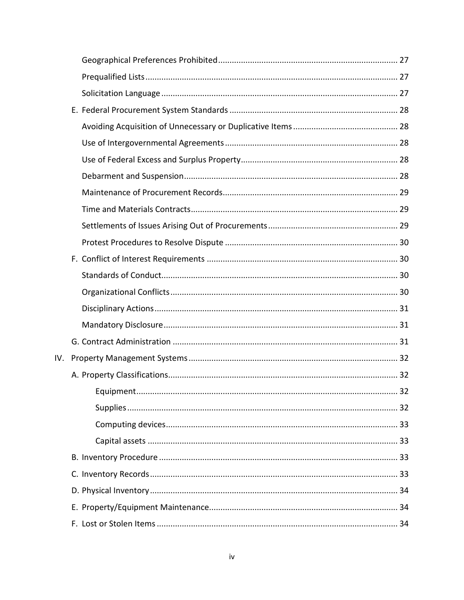| IV. |           |    |
|-----|-----------|----|
|     |           |    |
|     | Equipment | 32 |
|     |           |    |
|     |           |    |
|     |           |    |
|     |           |    |
|     |           |    |
|     |           |    |
|     |           |    |
|     |           |    |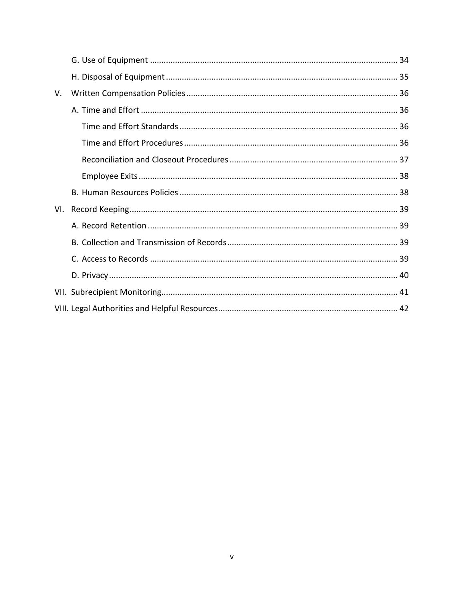| V.  |  |
|-----|--|
|     |  |
|     |  |
|     |  |
|     |  |
|     |  |
|     |  |
| VI. |  |
|     |  |
|     |  |
|     |  |
|     |  |
|     |  |
|     |  |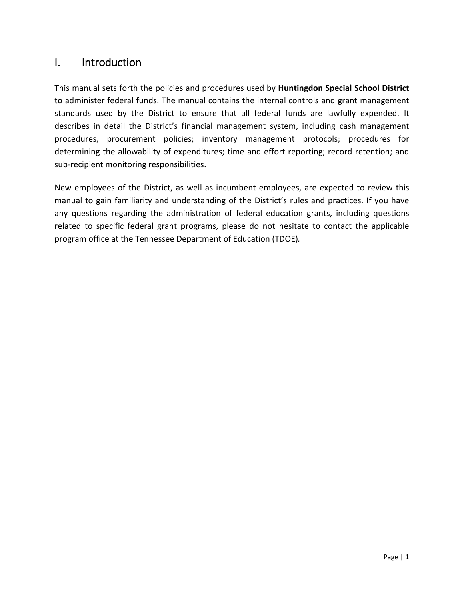# <span id="page-5-0"></span>I. Introduction

This manual sets forth the policies and procedures used by **Huntingdon Special School District** to administer federal funds. The manual contains the internal controls and grant management standards used by the District to ensure that all federal funds are lawfully expended. It describes in detail the District's financial management system, including cash management procedures, procurement policies; inventory management protocols; procedures for determining the allowability of expenditures; time and effort reporting; record retention; and sub-recipient monitoring responsibilities.

New employees of the District, as well as incumbent employees, are expected to review this manual to gain familiarity and understanding of the District's rules and practices. If you have any questions regarding the administration of federal education grants, including questions related to specific federal grant programs, please do not hesitate to contact the applicable program office at the Tennessee Department of Education (TDOE)*.*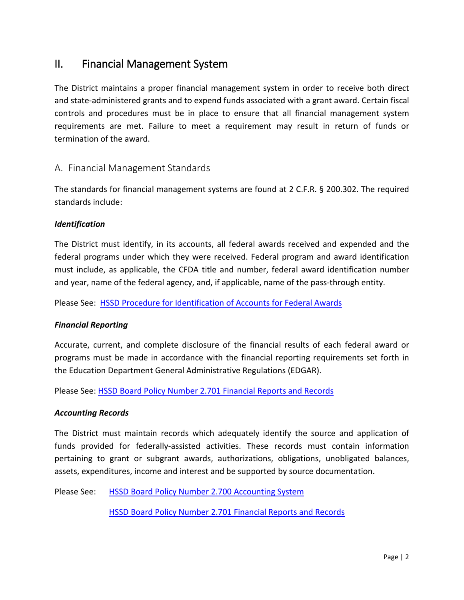# <span id="page-6-0"></span>II. Financial Management System

The District maintains a proper financial management system in order to receive both direct and state-administered grants and to expend funds associated with a grant award. Certain fiscal controls and procedures must be in place to ensure that all financial management system requirements are met. Failure to meet a requirement may result in return of funds or termination of the award.

## <span id="page-6-1"></span>A. Financial Management Standards

The standards for financial management systems are found at 2 C.F.R. § 200.302. The required standards include:

#### <span id="page-6-2"></span>*Identification*

The District must identify, in its accounts, all federal awards received and expended and the federal programs under which they were received. Federal program and award identification must include, as applicable, the CFDA title and number, federal award identification number and year, name of the federal agency, and, if applicable, name of the pass-through entity.

Please See: HSSD Procedure for [Identification of Accounts for Federal Awards](http://www.huntingdonschools.net/Download.asp?L=1&LMID=1034795&PN=DocumentUploads&DivisionID=21680&DepartmentID=&SubDepartmentID=&SubP=&Act=Download&T=1&I=569541)

#### <span id="page-6-3"></span>*Financial Reporting*

Accurate, current, and complete disclosure of the financial results of each federal award or programs must be made in accordance with the financial reporting requirements set forth in the Education Department General Administrative Regulations (EDGAR).

Please See: [HSSD Board Policy Number 2.701 Financial Reports and Records](http://images.pcmac.org/Uploads/TennesseeSBA/TennesseeSBA/Departments/DocumentsCategories/Documents/2701_57.pdf)

#### <span id="page-6-4"></span>*Accounting Records*

The District must maintain records which adequately identify the source and application of funds provided for federally-assisted activities. These records must contain information pertaining to grant or subgrant awards, authorizations, obligations, unobligated balances, assets, expenditures, income and interest and be supported by source documentation.

Please See: [HSSD Board Policy Number 2.700 Accounting System](http://images.pcmac.org/Uploads/TennesseeSBA/TennesseeSBA/Departments/DocumentsCategories/Documents/2700_61.pdf) 

[HSSD Board Policy Number 2.701 Financial Reports and Records](http://images.pcmac.org/Uploads/TennesseeSBA/TennesseeSBA/Departments/DocumentsCategories/Documents/2701_57.pdf)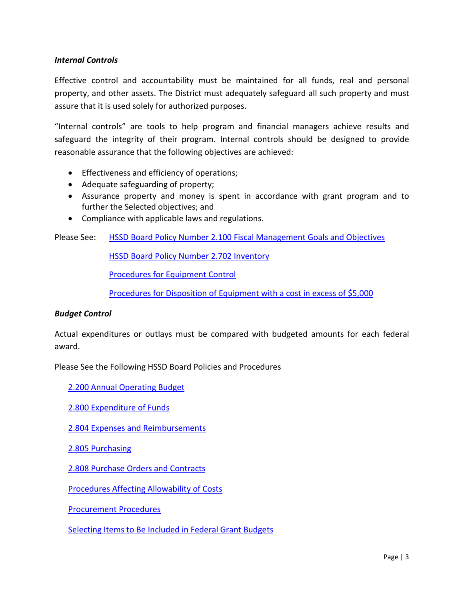#### <span id="page-7-0"></span>*Internal Controls*

Effective control and accountability must be maintained for all funds, real and personal property, and other assets. The District must adequately safeguard all such property and must assure that it is used solely for authorized purposes.

"Internal controls" are tools to help program and financial managers achieve results and safeguard the integrity of their program. Internal controls should be designed to provide reasonable assurance that the following objectives are achieved:

- Effectiveness and efficiency of operations;
- Adequate safeguarding of property;
- Assurance property and money is spent in accordance with grant program and to further the Selected objectives; and
- Compliance with applicable laws and regulations.

Please See: [HSSD Board Policy Number 2.100 Fiscal Management Goals and Objectives](http://images.pcmac.org/Uploads/TennesseeSBA/TennesseeSBA/Departments/DocumentsCategories/Documents/2100_62.pdf)

[HSSD Board Policy Number 2.702 Inventory](http://images.pcmac.org/Uploads/TennesseeSBA/TennesseeSBA/Departments/DocumentsCategories/Documents/2702_62.pdf)

[Procedures for Equipment Control](http://www.huntingdonschools.net/Download.asp?L=1&LMID=1034795&PN=DocumentUploads&DivisionID=21680&DepartmentID=&SubDepartmentID=&SubP=&Act=Download&T=1&I=569570)

[Procedures for Disposition of Equipment with a cost in excess of \\$5,000](http://www.huntingdonschools.net/Download.asp?L=1&LMID=1034795&PN=DocumentUploads&DivisionID=21680&DepartmentID=&SubDepartmentID=&SubP=&Act=Download&T=1&I=569576)

#### <span id="page-7-1"></span>*Budget Control*

Actual expenditures or outlays must be compared with budgeted amounts for each federal award.

Please See the Following HSSD Board Policies and Procedures

[2.200 Annual Operating Budget](http://images.pcmac.org/Uploads/TennesseeSBA/TennesseeSBA/Departments/DocumentsCategories/Documents/2200_63.pdf)

[2.800 Expenditure of Funds](http://images.pcmac.org/Uploads/TennesseeSBA/TennesseeSBA/Departments/DocumentsCategories/Documents/2800-Huntington.pdf)

[2.804 Expenses and Reimbursements](http://images.pcmac.org/Uploads/TennesseeSBA/TennesseeSBA/Departments/DocumentsCategories/Documents/2804_62.pdf)

[2.805 Purchasing](http://images.pcmac.org/Uploads/TennesseeSBA/TennesseeSBA/Departments/DocumentsCategories/Documents/2805_62.pdf)

[2.808 Purchase Orders and Contracts](http://images.pcmac.org/Uploads/TennesseeSBA/TennesseeSBA/Departments/DocumentsCategories/Documents/2808_61.pdf)

[Procedures Affecting](http://www.huntingdonschools.net/Download.asp?L=1&LMID=1034795&PN=DocumentUploads&DivisionID=21680&DepartmentID=&SubDepartmentID=&SubP=&Act=Download&T=1&I=569534) Allowability of Costs

[Procurement Procedures](http://www.huntingdonschools.net/Download.asp?L=1&LMID=1034795&PN=DocumentUploads&DivisionID=21680&DepartmentID=&SubDepartmentID=&SubP=&Act=Download&T=1&I=569556)

[Selecting Items to Be Included in Federal Grant Budgets](http://www.huntingdonschools.net/Download.asp?L=1&LMID=1034795&PN=DocumentUploads&DivisionID=21680&DepartmentID=&SubDepartmentID=&SubP=&Act=Download&T=1&I=569540)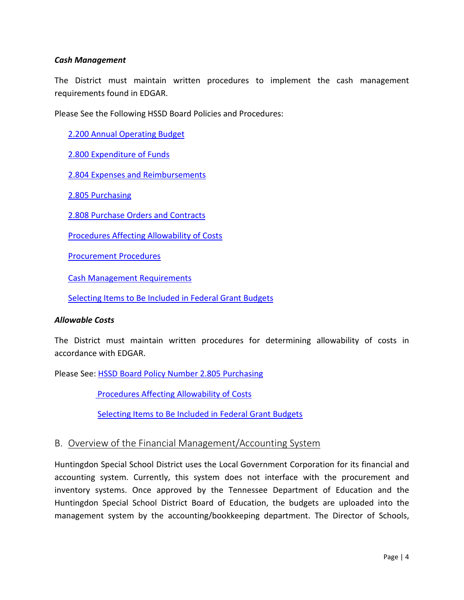#### <span id="page-8-0"></span>*Cash Management*

The District must maintain written procedures to implement the cash management requirements found in EDGAR.

<span id="page-8-1"></span>Please See the Following HSSD Board Policies and Procedures:

[2.200 Annual Operating Budget](http://images.pcmac.org/Uploads/TennesseeSBA/TennesseeSBA/Departments/DocumentsCategories/Documents/2200_63.pdf)

[2.800 Expenditure of Funds](http://images.pcmac.org/Uploads/TennesseeSBA/TennesseeSBA/Departments/DocumentsCategories/Documents/2800-Huntington.pdf)

[2.804 Expenses and Reimbursements](http://images.pcmac.org/Uploads/TennesseeSBA/TennesseeSBA/Departments/DocumentsCategories/Documents/2804_62.pdf)

[2.805 Purchasing](http://images.pcmac.org/Uploads/TennesseeSBA/TennesseeSBA/Departments/DocumentsCategories/Documents/2805_62.pdf)

[2.808 Purchase Orders and Contracts](http://images.pcmac.org/Uploads/TennesseeSBA/TennesseeSBA/Departments/DocumentsCategories/Documents/2808_61.pdf)

[Procedures Affecting Allowability of Costs](http://www.huntingdonschools.net/Download.asp?L=1&LMID=1034795&PN=DocumentUploads&DivisionID=21680&DepartmentID=&SubDepartmentID=&SubP=&Act=Download&T=1&I=569534)

[Procurement Procedures](http://www.huntingdonschools.net/Download.asp?L=1&LMID=1034795&PN=DocumentUploads&DivisionID=21680&DepartmentID=&SubDepartmentID=&SubP=&Act=Download&T=1&I=569556)

[Cash Management Requirements](http://www.huntingdonschools.net/Download.asp?L=1&LMID=1034795&PN=DocumentUploads&DivisionID=21680&DepartmentID=&SubDepartmentID=&SubP=&Act=Download&T=1&I=569557)

[Selecting Items to Be Included in Federal Grant Budgets](http://www.huntingdonschools.net/Download.asp?L=1&LMID=1034795&PN=DocumentUploads&DivisionID=21680&DepartmentID=&SubDepartmentID=&SubP=&Act=Download&T=1&I=569540)

#### *Allowable Costs*

The District must maintain written procedures for determining allowability of costs in accordance with EDGAR.

Please See: [HSSD Board Policy Number 2.805 Purchasing](http://images.pcmac.org/Uploads/TennesseeSBA/TennesseeSBA/Departments/DocumentsCategories/Documents/2805_62.pdf)

[Procedures Affecting Allowability of Costs](http://www.huntingdonschools.net/Download.asp?L=1&LMID=1034795&PN=DocumentUploads&DivisionID=21680&DepartmentID=&SubDepartmentID=&SubP=&Act=Download&T=1&I=569534)

[Selecting Items to Be Included in Federal Grant Budgets](http://www.huntingdonschools.net/Download.asp?L=1&LMID=1034795&PN=DocumentUploads&DivisionID=21680&DepartmentID=&SubDepartmentID=&SubP=&Act=Download&T=1&I=569540)

#### <span id="page-8-2"></span>B. Overview of the Financial Management/Accounting System

Huntingdon Special School District uses the Local Government Corporation for its financial and accounting system. Currently, this system does not interface with the procurement and inventory systems. Once approved by the Tennessee Department of Education and the Huntingdon Special School District Board of Education, the budgets are uploaded into the management system by the accounting/bookkeeping department. The Director of Schools,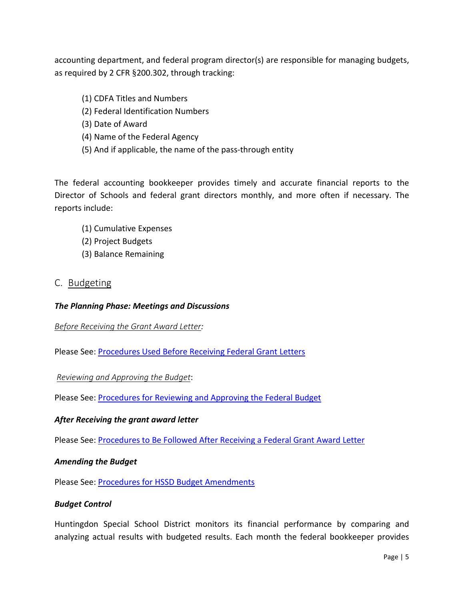accounting department, and federal program director(s) are responsible for managing budgets, as required by 2 CFR §200.302, through tracking:

- (1) CDFA Titles and Numbers
- (2) Federal Identification Numbers
- (3) Date of Award
- (4) Name of the Federal Agency
- (5) And if applicable, the name of the pass-through entity

The federal accounting bookkeeper provides timely and accurate financial reports to the Director of Schools and federal grant directors monthly, and more often if necessary. The reports include:

- (1) Cumulative Expenses
- (2) Project Budgets
- (3) Balance Remaining

#### <span id="page-9-0"></span>C. Budgeting

#### <span id="page-9-1"></span>*The Planning Phase: Meetings and Discussions*

#### <span id="page-9-2"></span>*Before Receiving the Grant Award Letter:*

Please See: [Procedures Used Before Receiving Federal Grant Letters](http://www.huntingdonschools.net/Download.asp?L=1&LMID=1034795&PN=DocumentUploads&DivisionID=21680&DepartmentID=&SubDepartmentID=&SubP=&Act=Download&T=1&I=569567)

<span id="page-9-3"></span>*Reviewing and Approving the Budget*:

Please See: [Procedures for Reviewing and Approving the Federal Budget](http://www.huntingdonschools.net/Download.asp?L=1&LMID=1034795&PN=DocumentUploads&DivisionID=21680&DepartmentID=&SubDepartmentID=&SubP=&Act=Download&T=1&I=569542)

#### <span id="page-9-4"></span>*After Receiving the grant award letter*

Please See: [Procedures to Be Followed After Receiving a Federal Grant Award Letter](http://www.huntingdonschools.net/Download.asp?L=1&LMID=1034795&PN=DocumentUploads&DivisionID=21680&DepartmentID=&SubDepartmentID=&SubP=&Act=Download&T=1&I=569568)

#### <span id="page-9-5"></span>*Amending the Budget*

Please See: **Procedures for HSSD Budget Amendments** 

#### <span id="page-9-6"></span>*Budget Control*

Huntingdon Special School District monitors its financial performance by comparing and analyzing actual results with budgeted results. Each month the federal bookkeeper provides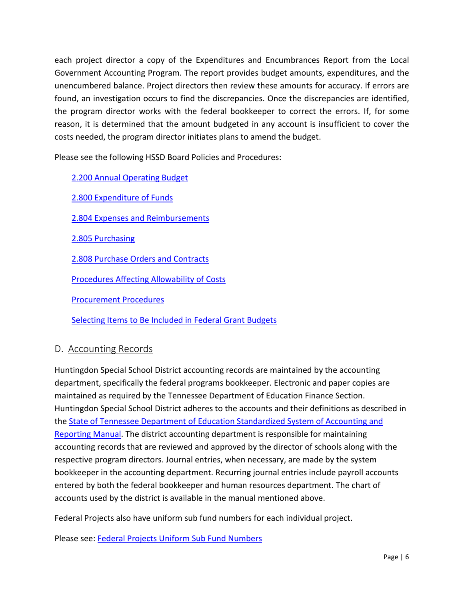each project director a copy of the Expenditures and Encumbrances Report from the Local Government Accounting Program. The report provides budget amounts, expenditures, and the unencumbered balance. Project directors then review these amounts for accuracy. If errors are found, an investigation occurs to find the discrepancies. Once the discrepancies are identified, the program director works with the federal bookkeeper to correct the errors. If, for some reason, it is determined that the amount budgeted in any account is insufficient to cover the costs needed, the program director initiates plans to amend the budget.

Please see the following HSSD Board Policies and Procedures:

[2.200 Annual Operating Budget](http://images.pcmac.org/Uploads/TennesseeSBA/TennesseeSBA/Departments/DocumentsCategories/Documents/2200_63.pdf)

[2.800 Expenditure of Funds](http://images.pcmac.org/Uploads/TennesseeSBA/TennesseeSBA/Departments/DocumentsCategories/Documents/2800-Huntington.pdf)

[2.804 Expenses and Reimbursements](http://images.pcmac.org/Uploads/TennesseeSBA/TennesseeSBA/Departments/DocumentsCategories/Documents/2804_62.pdf)

[2.805 Purchasing](http://images.pcmac.org/Uploads/TennesseeSBA/TennesseeSBA/Departments/DocumentsCategories/Documents/2805_62.pdf)

[2.808 Purchase Orders and Contracts](http://images.pcmac.org/Uploads/TennesseeSBA/TennesseeSBA/Departments/DocumentsCategories/Documents/2808_61.pdf)

[Procedures Affecting](http://www.huntingdonschools.net/Download.asp?L=1&LMID=1034795&PN=DocumentUploads&DivisionID=21680&DepartmentID=&SubDepartmentID=&SubP=&Act=Download&T=1&I=569534) Allowability of Costs

[Procurement Procedures](http://www.huntingdonschools.net/Download.asp?L=1&LMID=1034795&PN=DocumentUploads&DivisionID=21680&DepartmentID=&SubDepartmentID=&SubP=&Act=Download&T=1&I=569556)

[Selecting Items to Be Included in Federal Grant Budgets](http://www.huntingdonschools.net/Download.asp?L=1&LMID=1034795&PN=DocumentUploads&DivisionID=21680&DepartmentID=&SubDepartmentID=&SubP=&Act=Download&T=1&I=569540)

#### <span id="page-10-0"></span>D. Accounting Records

Huntingdon Special School District accounting records are maintained by the accounting department, specifically the federal programs bookkeeper. Electronic and paper copies are maintained as required by the Tennessee Department of Education Finance Section. Huntingdon Special School District adheres to the accounts and their definitions as described in the [State of Tennessee Department of Education Standardized System of](http://tn.gov/assets/entities/education/attachments/loc_fin_system_manual.pdf) Accounting and [Reporting Manual.](http://tn.gov/assets/entities/education/attachments/loc_fin_system_manual.pdf) The district accounting department is responsible for maintaining accounting records that are reviewed and approved by the director of schools along with the respective program directors. Journal entries, when necessary, are made by the system bookkeeper in the accounting department. Recurring journal entries include payroll accounts entered by both the federal bookkeeper and human resources department. The chart of accounts used by the district is available in the manual mentioned above.

Federal Projects also have uniform sub fund numbers for each individual project.

Please see: [Federal Projects Uniform Sub Fund Numbers](http://www.huntingdonschools.net/Download.asp?L=1&LMID=1034795&PN=DocumentUploads&DivisionID=21680&DepartmentID=&SubDepartmentID=&SubP=&Act=Download&T=1&I=569201)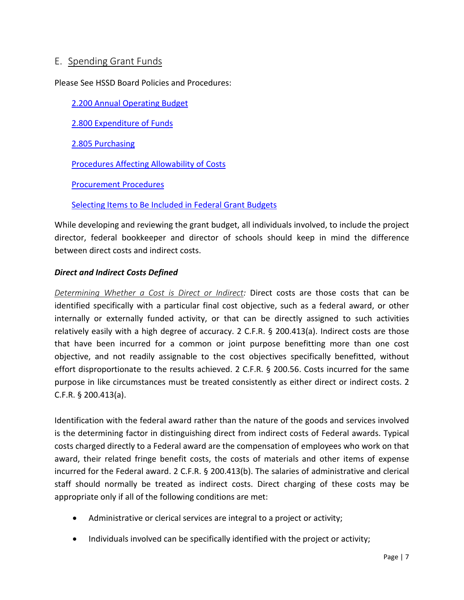## <span id="page-11-0"></span>E. Spending Grant Funds

Please See HSSD Board Policies and Procedures:

[2.200 Annual Operating Budget](http://images.pcmac.org/Uploads/TennesseeSBA/TennesseeSBA/Departments/DocumentsCategories/Documents/2200_63.pdf)

[2.800 Expenditure of Funds](http://images.pcmac.org/Uploads/TennesseeSBA/TennesseeSBA/Departments/DocumentsCategories/Documents/2800-Huntington.pdf)

[2.805 Purchasing](http://images.pcmac.org/Uploads/TennesseeSBA/TennesseeSBA/Departments/DocumentsCategories/Documents/2805_62.pdf)

[Procedures Affecting](http://www.huntingdonschools.net/Download.asp?L=1&LMID=1034795&PN=DocumentUploads&DivisionID=21680&DepartmentID=&SubDepartmentID=&SubP=&Act=Download&T=1&I=569534) Allowability of Costs

[Procurement Procedures](http://www.huntingdonschools.net/Download.asp?L=1&LMID=1034795&PN=DocumentUploads&DivisionID=21680&DepartmentID=&SubDepartmentID=&SubP=&Act=Download&T=1&I=569556)

[Selecting Items to Be Included in Federal Grant Budgets](http://www.huntingdonschools.net/Download.asp?L=1&LMID=1034795&PN=DocumentUploads&DivisionID=21680&DepartmentID=&SubDepartmentID=&SubP=&Act=Download&T=1&I=569540)

While developing and reviewing the grant budget, all individuals involved, to include the project director, federal bookkeeper and director of schools should keep in mind the difference between direct costs and indirect costs.

#### <span id="page-11-1"></span>*Direct and Indirect Costs Defined*

<span id="page-11-2"></span>*Determining Whether a Cost is Direct or Indirect:* Direct costs are those costs that can be identified specifically with a particular final cost objective, such as a federal award, or other internally or externally funded activity, or that can be directly assigned to such activities relatively easily with a high degree of accuracy. 2 C.F.R. § 200.413(a). Indirect costs are those that have been incurred for a common or joint purpose benefitting more than one cost objective, and not readily assignable to the cost objectives specifically benefitted, without effort disproportionate to the results achieved. 2 C.F.R. § 200.56. Costs incurred for the same purpose in like circumstances must be treated consistently as either direct or indirect costs. 2 C.F.R. § 200.413(a).

Identification with the federal award rather than the nature of the goods and services involved is the determining factor in distinguishing direct from indirect costs of Federal awards. Typical costs charged directly to a Federal award are the compensation of employees who work on that award, their related fringe benefit costs, the costs of materials and other items of expense incurred for the Federal award. 2 C.F.R. § 200.413(b). The salaries of administrative and clerical staff should normally be treated as indirect costs. Direct charging of these costs may be appropriate only if all of the following conditions are met:

- Administrative or clerical services are integral to a project or activity;
- Individuals involved can be specifically identified with the project or activity;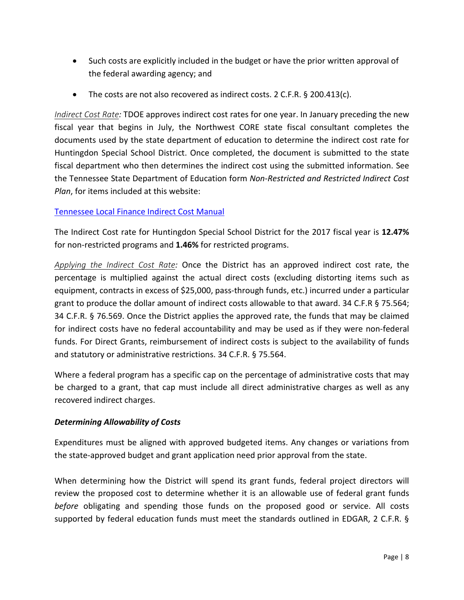- Such costs are explicitly included in the budget or have the prior written approval of the federal awarding agency; and
- The costs are not also recovered as indirect costs. 2 C.F.R. § 200.413(c).

<span id="page-12-0"></span>*Indirect Cost Rate:* TDOE approves indirect cost rates for one year. In January preceding the new fiscal year that begins in July, the Northwest CORE state fiscal consultant completes the documents used by the state department of education to determine the indirect cost rate for Huntingdon Special School District. Once completed, the document is submitted to the state fiscal department who then determines the indirect cost using the submitted information. See the Tennessee State Department of Education form *Non-Restricted and Restricted Indirect Cost Plan*, for items included at this website:

#### [Tennessee Local Finance Indirect Cost Manual](http://tn.gov/assets/entities/education/attachments/loc_fin_indirect_cost_manual.pdf)

The Indirect Cost rate for Huntingdon Special School District for the 2017 fiscal year is **12.47%** for non-restricted programs and **1.46%** for restricted programs.

<span id="page-12-1"></span>*Applying the Indirect Cost Rate:* Once the District has an approved indirect cost rate, the percentage is multiplied against the actual direct costs (excluding distorting items such as equipment, contracts in excess of \$25,000, pass-through funds, etc.) incurred under a particular grant to produce the dollar amount of indirect costs allowable to that award. 34 C.F.R § 75.564; 34 C.F.R. § 76.569. Once the District applies the approved rate, the funds that may be claimed for indirect costs have no federal accountability and may be used as if they were non-federal funds. For Direct Grants, reimbursement of indirect costs is subject to the availability of funds and statutory or administrative restrictions. 34 C.F.R. § 75.564.

Where a federal program has a specific cap on the percentage of administrative costs that may be charged to a grant, that cap must include all direct administrative charges as well as any recovered indirect charges.

#### <span id="page-12-2"></span>*Determining Allowability of Costs*

Expenditures must be aligned with approved budgeted items. Any changes or variations from the state-approved budget and grant application need prior approval from the state.

When determining how the District will spend its grant funds, federal project directors will review the proposed cost to determine whether it is an allowable use of federal grant funds *before* obligating and spending those funds on the proposed good or service. All costs supported by federal education funds must meet the standards outlined in EDGAR, 2 C.F.R. §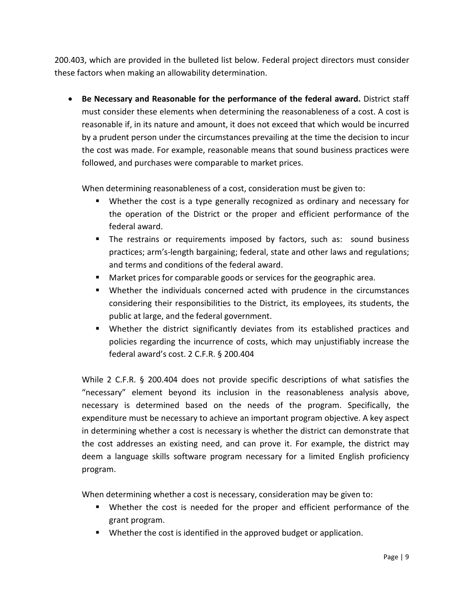200.403, which are provided in the bulleted list below. Federal project directors must consider these factors when making an allowability determination.

• **Be Necessary and Reasonable for the performance of the federal award.** District staff must consider these elements when determining the reasonableness of a cost. A cost is reasonable if, in its nature and amount, it does not exceed that which would be incurred by a prudent person under the circumstances prevailing at the time the decision to incur the cost was made. For example, reasonable means that sound business practices were followed, and purchases were comparable to market prices.

When determining reasonableness of a cost, consideration must be given to:

- Whether the cost is a type generally recognized as ordinary and necessary for the operation of the District or the proper and efficient performance of the federal award.
- **The restrains or requirements imposed by factors, such as: sound business** practices; arm's-length bargaining; federal, state and other laws and regulations; and terms and conditions of the federal award.
- Market prices for comparable goods or services for the geographic area.
- Whether the individuals concerned acted with prudence in the circumstances considering their responsibilities to the District, its employees, its students, the public at large, and the federal government.
- Whether the district significantly deviates from its established practices and policies regarding the incurrence of costs, which may unjustifiably increase the federal award's cost. 2 C.F.R. § 200.404

While 2 C.F.R. § 200.404 does not provide specific descriptions of what satisfies the "necessary" element beyond its inclusion in the reasonableness analysis above, necessary is determined based on the needs of the program. Specifically, the expenditure must be necessary to achieve an important program objective. A key aspect in determining whether a cost is necessary is whether the district can demonstrate that the cost addresses an existing need, and can prove it. For example, the district may deem a language skills software program necessary for a limited English proficiency program.

When determining whether a cost is necessary, consideration may be given to:

- Whether the cost is needed for the proper and efficient performance of the grant program.
- **Whether the cost is identified in the approved budget or application.**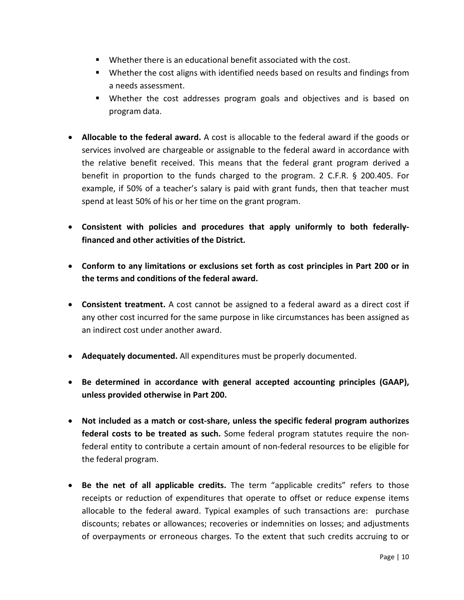- Whether there is an educational benefit associated with the cost.
- Whether the cost aligns with identified needs based on results and findings from a needs assessment.
- Whether the cost addresses program goals and objectives and is based on program data.
- **Allocable to the federal award.** A cost is allocable to the federal award if the goods or services involved are chargeable or assignable to the federal award in accordance with the relative benefit received. This means that the federal grant program derived a benefit in proportion to the funds charged to the program. 2 C.F.R. § 200.405. For example, if 50% of a teacher's salary is paid with grant funds, then that teacher must spend at least 50% of his or her time on the grant program.
- **Consistent with policies and procedures that apply uniformly to both federallyfinanced and other activities of the District.**
- **Conform to any limitations or exclusions set forth as cost principles in Part 200 or in the terms and conditions of the federal award.**
- **Consistent treatment.** A cost cannot be assigned to a federal award as a direct cost if any other cost incurred for the same purpose in like circumstances has been assigned as an indirect cost under another award.
- **Adequately documented.** All expenditures must be properly documented.
- **Be determined in accordance with general accepted accounting principles (GAAP), unless provided otherwise in Part 200.**
- **Not included as a match or cost-share, unless the specific federal program authorizes federal costs to be treated as such.** Some federal program statutes require the nonfederal entity to contribute a certain amount of non-federal resources to be eligible for the federal program.
- **Be the net of all applicable credits.** The term "applicable credits" refers to those receipts or reduction of expenditures that operate to offset or reduce expense items allocable to the federal award. Typical examples of such transactions are: purchase discounts; rebates or allowances; recoveries or indemnities on losses; and adjustments of overpayments or erroneous charges. To the extent that such credits accruing to or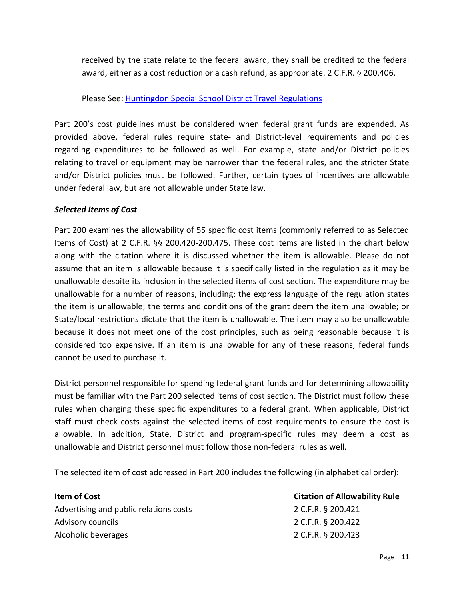received by the state relate to the federal award, they shall be credited to the federal award, either as a cost reduction or a cash refund, as appropriate. 2 C.F.R. § 200.406.

#### Please See: [Huntingdon Special School District Travel Regulations](http://www.huntingdonschools.net/Download.asp?L=1&LMID=1034795&PN=DocumentUploads&DivisionID=21680&DepartmentID=&SubDepartmentID=&SubP=&Act=Download&T=1&I=569590)

Part 200's cost guidelines must be considered when federal grant funds are expended. As provided above, federal rules require state- and District-level requirements and policies regarding expenditures to be followed as well. For example, state and/or District policies relating to travel or equipment may be narrower than the federal rules, and the stricter State and/or District policies must be followed. Further, certain types of incentives are allowable under federal law, but are not allowable under State law.

#### <span id="page-15-0"></span>*Selected Items of Cost*

Part 200 examines the allowability of 55 specific cost items (commonly referred to as Selected Items of Cost) at 2 C.F.R. §§ 200.420-200.475. These cost items are listed in the chart below along with the citation where it is discussed whether the item is allowable. Please do not assume that an item is allowable because it is specifically listed in the regulation as it may be unallowable despite its inclusion in the selected items of cost section. The expenditure may be unallowable for a number of reasons, including: the express language of the regulation states the item is unallowable; the terms and conditions of the grant deem the item unallowable; or State/local restrictions dictate that the item is unallowable. The item may also be unallowable because it does not meet one of the cost principles, such as being reasonable because it is considered too expensive. If an item is unallowable for any of these reasons, federal funds cannot be used to purchase it.

District personnel responsible for spending federal grant funds and for determining allowability must be familiar with the Part 200 selected items of cost section. The District must follow these rules when charging these specific expenditures to a federal grant. When applicable, District staff must check costs against the selected items of cost requirements to ensure the cost is allowable. In addition, State, District and program-specific rules may deem a cost as unallowable and District personnel must follow those non-federal rules as well.

The selected item of cost addressed in Part 200 includes the following (in alphabetical order):

| Item of Cost                           | <b>Citation of Allowability Rule</b> |  |
|----------------------------------------|--------------------------------------|--|
| Advertising and public relations costs | 2 C.F.R. § 200.421                   |  |
| Advisory councils                      | 2 C.F.R. § 200.422                   |  |
| Alcoholic beverages                    | 2 C.F.R. § 200.423                   |  |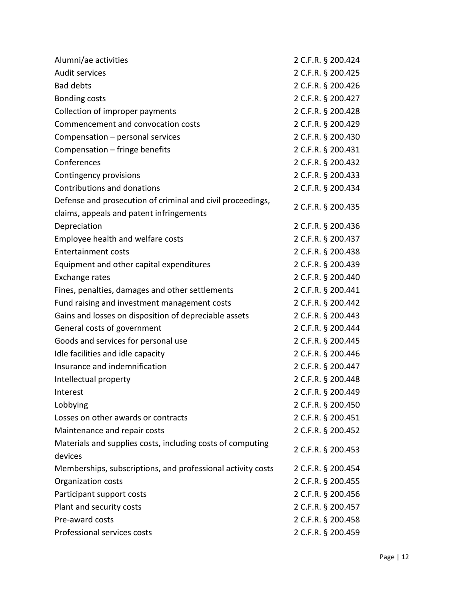| Alumni/ae activities                                        | 2 C.F.R. § 200.424 |
|-------------------------------------------------------------|--------------------|
| Audit services                                              | 2 C.F.R. § 200.425 |
| <b>Bad debts</b>                                            | 2 C.F.R. § 200.426 |
| <b>Bonding costs</b>                                        | 2 C.F.R. § 200.427 |
| Collection of improper payments                             | 2 C.F.R. § 200.428 |
| Commencement and convocation costs                          | 2 C.F.R. § 200.429 |
| Compensation - personal services                            | 2 C.F.R. § 200.430 |
| Compensation - fringe benefits                              | 2 C.F.R. § 200.431 |
| Conferences                                                 | 2 C.F.R. § 200.432 |
| Contingency provisions                                      | 2 C.F.R. § 200.433 |
| Contributions and donations                                 | 2 C.F.R. § 200.434 |
| Defense and prosecution of criminal and civil proceedings,  |                    |
| claims, appeals and patent infringements                    | 2 C.F.R. § 200.435 |
| Depreciation                                                | 2 C.F.R. § 200.436 |
| Employee health and welfare costs                           | 2 C.F.R. § 200.437 |
| <b>Entertainment costs</b>                                  | 2 C.F.R. § 200.438 |
| Equipment and other capital expenditures                    | 2 C.F.R. § 200.439 |
| Exchange rates                                              | 2 C.F.R. § 200.440 |
| Fines, penalties, damages and other settlements             | 2 C.F.R. § 200.441 |
| Fund raising and investment management costs                | 2 C.F.R. § 200.442 |
| Gains and losses on disposition of depreciable assets       | 2 C.F.R. § 200.443 |
| General costs of government                                 | 2 C.F.R. § 200.444 |
| Goods and services for personal use                         | 2 C.F.R. § 200.445 |
| Idle facilities and idle capacity                           | 2 C.F.R. § 200.446 |
| Insurance and indemnification                               | 2 C.F.R. § 200.447 |
| Intellectual property                                       | 2 C.F.R. § 200.448 |
| Interest                                                    | 2 C.F.R. § 200.449 |
| Lobbying                                                    | 2 C.F.R. § 200.450 |
| Losses on other awards or contracts                         | 2 C.F.R. § 200.451 |
| Maintenance and repair costs                                | 2 C.F.R. § 200.452 |
| Materials and supplies costs, including costs of computing  |                    |
| devices                                                     | 2 C.F.R. § 200.453 |
| Memberships, subscriptions, and professional activity costs | 2 C.F.R. § 200.454 |
| Organization costs                                          | 2 C.F.R. § 200.455 |
| Participant support costs                                   | 2 C.F.R. § 200.456 |
| Plant and security costs                                    | 2 C.F.R. § 200.457 |
| Pre-award costs                                             | 2 C.F.R. § 200.458 |
| Professional services costs                                 | 2 C.F.R. § 200.459 |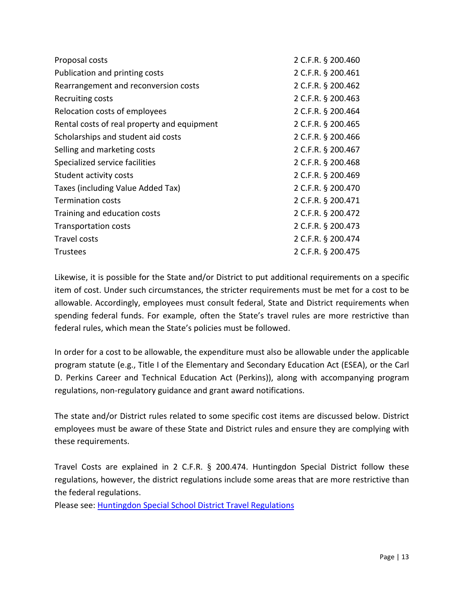| Proposal costs                              | 2 C.F.R. § 200.460 |
|---------------------------------------------|--------------------|
| Publication and printing costs              | 2 C.F.R. § 200.461 |
| Rearrangement and reconversion costs        | 2 C.F.R. § 200.462 |
| Recruiting costs                            | 2 C.F.R. § 200.463 |
| Relocation costs of employees               | 2 C.F.R. § 200.464 |
| Rental costs of real property and equipment | 2 C.F.R. § 200.465 |
| Scholarships and student aid costs          | 2 C.F.R. § 200.466 |
| Selling and marketing costs                 | 2 C.F.R. § 200.467 |
| Specialized service facilities              | 2 C.F.R. § 200.468 |
| Student activity costs                      | 2 C.F.R. § 200.469 |
| Taxes (including Value Added Tax)           | 2 C.F.R. § 200.470 |
| <b>Termination costs</b>                    | 2 C.F.R. § 200.471 |
| Training and education costs                | 2 C.F.R. § 200.472 |
| <b>Transportation costs</b>                 | 2 C.F.R. § 200.473 |
| Travel costs                                | 2 C.F.R. § 200.474 |
| <b>Trustees</b>                             | 2 C.F.R. § 200.475 |
|                                             |                    |

Likewise, it is possible for the State and/or District to put additional requirements on a specific item of cost. Under such circumstances, the stricter requirements must be met for a cost to be allowable. Accordingly, employees must consult federal, State and District requirements when spending federal funds. For example, often the State's travel rules are more restrictive than federal rules, which mean the State's policies must be followed.

In order for a cost to be allowable, the expenditure must also be allowable under the applicable program statute (e.g., Title I of the Elementary and Secondary Education Act (ESEA), or the Carl D. Perkins Career and Technical Education Act (Perkins)), along with accompanying program regulations, non-regulatory guidance and grant award notifications.

The state and/or District rules related to some specific cost items are discussed below. District employees must be aware of these State and District rules and ensure they are complying with these requirements.

Travel Costs are explained in 2 C.F.R. § 200.474. Huntingdon Special District follow these regulations, however, the district regulations include some areas that are more restrictive than the federal regulations.

Please see: [Huntingdon Special School District Travel Regulations](http://www.huntingdonschools.net/Download.asp?L=1&LMID=1034795&PN=DocumentUploads&DivisionID=21680&DepartmentID=&SubDepartmentID=&SubP=&Act=Download&T=1&I=569590)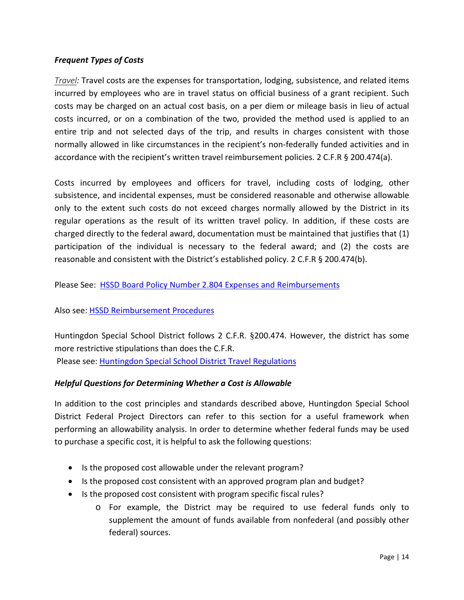#### <span id="page-18-0"></span>*Frequent Types of Costs*

<span id="page-18-1"></span>*Travel:* Travel costs are the expenses for transportation, lodging, subsistence, and related items incurred by employees who are in travel status on official business of a grant recipient. Such costs may be charged on an actual cost basis, on a per diem or mileage basis in lieu of actual costs incurred, or on a combination of the two, provided the method used is applied to an entire trip and not selected days of the trip, and results in charges consistent with those normally allowed in like circumstances in the recipient's non-federally funded activities and in accordance with the recipient's written travel reimbursement policies. 2 C.F.R § 200.474(a).

Costs incurred by employees and officers for travel, including costs of lodging, other subsistence, and incidental expenses, must be considered reasonable and otherwise allowable only to the extent such costs do not exceed charges normally allowed by the District in its regular operations as the result of its written travel policy. In addition, if these costs are charged directly to the federal award, documentation must be maintained that justifies that (1) participation of the individual is necessary to the federal award; and (2) the costs are reasonable and consistent with the District's established policy. 2 C.F.R § 200.474(b).

Please See: [HSSD Board Policy Number 2.804 Expenses and Reimbursements](http://images.pcmac.org/Uploads/TennesseeSBA/TennesseeSBA/Departments/DocumentsCategories/Documents/2804_62.pdf)

#### Also see: [HSSD Reimbursement Procedures](http://www.huntingdonschools.net/Download.asp?L=1&LMID=1034795&PN=DocumentUploads&DivisionID=21680&DepartmentID=&SubDepartmentID=&SubP=&Act=Download&T=1&I=569559)

Huntingdon Special School District follows 2 C.F.R. §200.474. However, the district has some more restrictive stipulations than does the C.F.R. Please see: [Huntingdon Special School District](http://www.huntingdonschools.net/Download.asp?L=1&LMID=1034795&PN=DocumentUploads&DivisionID=21680&DepartmentID=&SubDepartmentID=&SubP=&Act=Download&T=1&I=569590) Travel Regulations

#### <span id="page-18-2"></span>*Helpful Questions for Determining Whether a Cost is Allowable*

In addition to the cost principles and standards described above, Huntingdon Special School District Federal Project Directors can refer to this section for a useful framework when performing an allowability analysis. In order to determine whether federal funds may be used to purchase a specific cost, it is helpful to ask the following questions:

- Is the proposed cost allowable under the relevant program?
- Is the proposed cost consistent with an approved program plan and budget?
- Is the proposed cost consistent with program specific fiscal rules?
	- o For example, the District may be required to use federal funds only to supplement the amount of funds available from nonfederal (and possibly other federal) sources.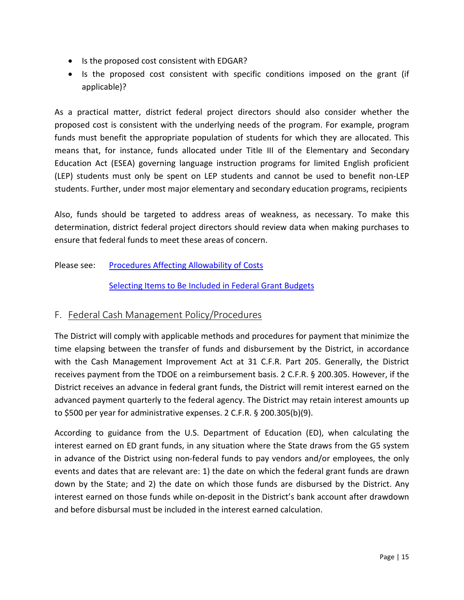- Is the proposed cost consistent with EDGAR?
- Is the proposed cost consistent with specific conditions imposed on the grant (if applicable)?

As a practical matter, district federal project directors should also consider whether the proposed cost is consistent with the underlying needs of the program. For example, program funds must benefit the appropriate population of students for which they are allocated. This means that, for instance, funds allocated under Title III of the Elementary and Secondary Education Act (ESEA) governing language instruction programs for limited English proficient (LEP) students must only be spent on LEP students and cannot be used to benefit non-LEP students. Further, under most major elementary and secondary education programs, recipients

Also, funds should be targeted to address areas of weakness, as necessary. To make this determination, district federal project directors should review data when making purchases to ensure that federal funds to meet these areas of concern.

#### Please see: [Procedures Affecting](http://www.huntingdonschools.net/Download.asp?L=1&LMID=1034795&PN=DocumentUploads&DivisionID=21680&DepartmentID=&SubDepartmentID=&SubP=&Act=Download&T=1&I=569534) Allowability of Costs

[Selecting Items to Be Included in Federal Grant Budgets](http://www.huntingdonschools.net/Download.asp?L=1&LMID=1034795&PN=DocumentUploads&DivisionID=21680&DepartmentID=&SubDepartmentID=&SubP=&Act=Download&T=1&I=569540)

## <span id="page-19-0"></span>F. Federal Cash Management Policy/Procedures

The District will comply with applicable methods and procedures for payment that minimize the time elapsing between the transfer of funds and disbursement by the District, in accordance with the Cash Management Improvement Act at 31 C.F.R. Part 205. Generally, the District receives payment from the TDOE on a reimbursement basis. 2 C.F.R. § 200.305. However, if the District receives an advance in federal grant funds, the District will remit interest earned on the advanced payment quarterly to the federal agency. The District may retain interest amounts up to \$500 per year for administrative expenses. 2 C.F.R. § 200.305(b)(9).

According to guidance from the U.S. Department of Education (ED), when calculating the interest earned on ED grant funds, in any situation where the State draws from the G5 system in advance of the District using non-federal funds to pay vendors and/or employees, the only events and dates that are relevant are: 1) the date on which the federal grant funds are drawn down by the State; and 2) the date on which those funds are disbursed by the District. Any interest earned on those funds while on-deposit in the District's bank account after drawdown and before disbursal must be included in the interest earned calculation.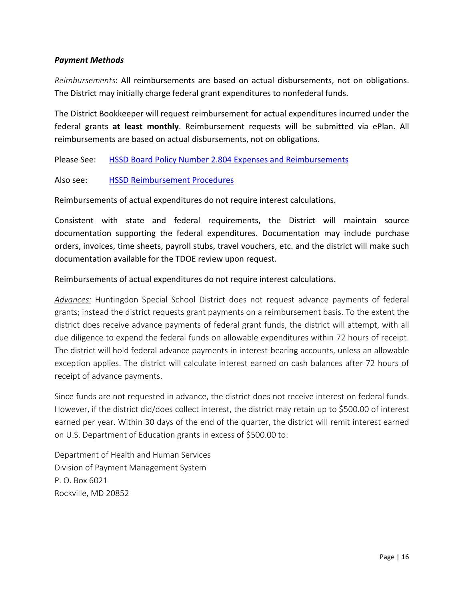#### <span id="page-20-0"></span>*Payment Methods*

<span id="page-20-1"></span>*Reimbursements*: All reimbursements are based on actual disbursements, not on obligations. The District may initially charge federal grant expenditures to nonfederal funds.

The District Bookkeeper will request reimbursement for actual expenditures incurred under the federal grants **at least monthly**. Reimbursement requests will be submitted via ePlan. All reimbursements are based on actual disbursements, not on obligations.

Please See: [HSSD Board Policy Number 2.804 Expenses and Reimbursements](http://images.pcmac.org/Uploads/TennesseeSBA/TennesseeSBA/Departments/DocumentsCategories/Documents/2804_62.pdf)

#### Also see: [HSSD Reimbursement Procedures](http://www.huntingdonschools.net/Download.asp?L=1&LMID=1034795&PN=DocumentUploads&DivisionID=21680&DepartmentID=&SubDepartmentID=&SubP=&Act=Download&T=1&I=569559)

Reimbursements of actual expenditures do not require interest calculations.

Consistent with state and federal requirements, the District will maintain source documentation supporting the federal expenditures. Documentation may include purchase orders, invoices, time sheets, payroll stubs, travel vouchers, etc. and the district will make such documentation available for the TDOE review upon request.

Reimbursements of actual expenditures do not require interest calculations.

<span id="page-20-2"></span>*Advances:* Huntingdon Special School District does not request advance payments of federal grants; instead the district requests grant payments on a reimbursement basis. To the extent the district does receive advance payments of federal grant funds, the district will attempt, with all due diligence to expend the federal funds on allowable expenditures within 72 hours of receipt. The district will hold federal advance payments in interest-bearing accounts, unless an allowable exception applies. The district will calculate interest earned on cash balances after 72 hours of receipt of advance payments.

Since funds are not requested in advance, the district does not receive interest on federal funds. However, if the district did/does collect interest, the district may retain up to \$500.00 of interest earned per year. Within 30 days of the end of the quarter, the district will remit interest earned on U.S. Department of Education grants in excess of \$500.00 to:

Department of Health and Human Services Division of Payment Management System P. O. Box 6021 Rockville, MD 20852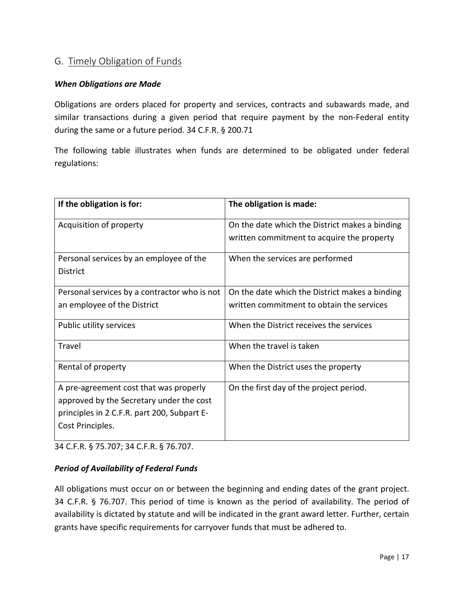# <span id="page-21-0"></span>G. Timely Obligation of Funds

#### <span id="page-21-1"></span>*When Obligations are Made*

Obligations are orders placed for property and services, contracts and subawards made, and similar transactions during a given period that require payment by the non-Federal entity during the same or a future period. 34 C.F.R. § 200.71

The following table illustrates when funds are determined to be obligated under federal regulations:

| If the obligation is for:                    | The obligation is made:                        |
|----------------------------------------------|------------------------------------------------|
| Acquisition of property                      | On the date which the District makes a binding |
|                                              | written commitment to acquire the property     |
| Personal services by an employee of the      | When the services are performed                |
| <b>District</b>                              |                                                |
| Personal services by a contractor who is not | On the date which the District makes a binding |
| an employee of the District                  | written commitment to obtain the services      |
| Public utility services                      | When the District receives the services        |
| Travel                                       | When the travel is taken                       |
| Rental of property                           | When the District uses the property            |
| A pre-agreement cost that was properly       | On the first day of the project period.        |
| approved by the Secretary under the cost     |                                                |
| principles in 2 C.F.R. part 200, Subpart E-  |                                                |
| Cost Principles.                             |                                                |
|                                              |                                                |

34 C.F.R. § 75.707; 34 C.F.R. § 76.707.

#### <span id="page-21-2"></span>*Period of Availability of Federal Funds*

All obligations must occur on or between the beginning and ending dates of the grant project. 34 C.F.R. § 76.707. This period of time is known as the period of availability. The period of availability is dictated by statute and will be indicated in the grant award letter. Further, certain grants have specific requirements for carryover funds that must be adhered to.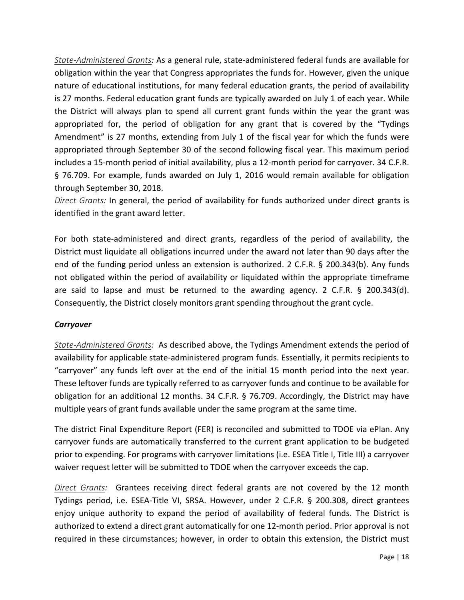<span id="page-22-0"></span>*State-Administered Grants:* As a general rule, state-administered federal funds are available for obligation within the year that Congress appropriates the funds for. However, given the unique nature of educational institutions, for many federal education grants, the period of availability is 27 months. Federal education grant funds are typically awarded on July 1 of each year. While the District will always plan to spend all current grant funds within the year the grant was appropriated for, the period of obligation for any grant that is covered by the "Tydings Amendment" is 27 months, extending from July 1 of the fiscal year for which the funds were appropriated through September 30 of the second following fiscal year. This maximum period includes a 15-month period of initial availability, plus a 12-month period for carryover. 34 C.F.R. § 76.709. For example, funds awarded on July 1, 2016 would remain available for obligation through September 30, 2018.

<span id="page-22-1"></span>*Direct Grants:* In general, the period of availability for funds authorized under direct grants is identified in the grant award letter.

For both state-administered and direct grants, regardless of the period of availability, the District must liquidate all obligations incurred under the award not later than 90 days after the end of the funding period unless an extension is authorized. 2 C.F.R. § 200.343(b). Any funds not obligated within the period of availability or liquidated within the appropriate timeframe are said to lapse and must be returned to the awarding agency. 2 C.F.R. § 200.343(d). Consequently, the District closely monitors grant spending throughout the grant cycle.

#### <span id="page-22-2"></span>*Carryover*

<span id="page-22-3"></span>*State-Administered Grants:* As described above, the Tydings Amendment extends the period of availability for applicable state-administered program funds. Essentially, it permits recipients to "carryover" any funds left over at the end of the initial 15 month period into the next year. These leftover funds are typically referred to as carryover funds and continue to be available for obligation for an additional 12 months. 34 C.F.R. § 76.709. Accordingly, the District may have multiple years of grant funds available under the same program at the same time.

The district Final Expenditure Report (FER) is reconciled and submitted to TDOE via ePlan. Any carryover funds are automatically transferred to the current grant application to be budgeted prior to expending. For programs with carryover limitations (i.e. ESEA Title I, Title III) a carryover waiver request letter will be submitted to TDOE when the carryover exceeds the cap.

<span id="page-22-4"></span>*Direct Grants:* Grantees receiving direct federal grants are not covered by the 12 month Tydings period, i.e. ESEA-Title VI, SRSA. However, under 2 C.F.R. § 200.308, direct grantees enjoy unique authority to expand the period of availability of federal funds. The District is authorized to extend a direct grant automatically for one 12-month period. Prior approval is not required in these circumstances; however, in order to obtain this extension, the District must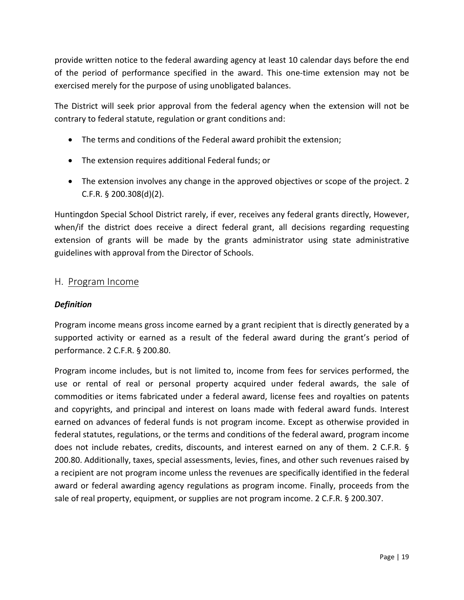provide written notice to the federal awarding agency at least 10 calendar days before the end of the period of performance specified in the award. This one-time extension may not be exercised merely for the purpose of using unobligated balances.

The District will seek prior approval from the federal agency when the extension will not be contrary to federal statute, regulation or grant conditions and:

- The terms and conditions of the Federal award prohibit the extension;
- The extension requires additional Federal funds; or
- The extension involves any change in the approved objectives or scope of the project. 2 C.F.R. § 200.308(d)(2).

Huntingdon Special School District rarely, if ever, receives any federal grants directly, However, when/if the district does receive a direct federal grant, all decisions regarding requesting extension of grants will be made by the grants administrator using state administrative guidelines with approval from the Director of Schools.

#### <span id="page-23-0"></span>H. Program Income

#### <span id="page-23-1"></span>*Definition*

Program income means gross income earned by a grant recipient that is directly generated by a supported activity or earned as a result of the federal award during the grant's period of performance. 2 C.F.R. § 200.80.

Program income includes, but is not limited to, income from fees for services performed, the use or rental of real or personal property acquired under federal awards, the sale of commodities or items fabricated under a federal award, license fees and royalties on patents and copyrights, and principal and interest on loans made with federal award funds. Interest earned on advances of federal funds is not program income. Except as otherwise provided in federal statutes, regulations, or the terms and conditions of the federal award, program income does not include rebates, credits, discounts, and interest earned on any of them. 2 C.F.R. § 200.80. Additionally, taxes, special assessments, levies, fines, and other such revenues raised by a recipient are not program income unless the revenues are specifically identified in the federal award or federal awarding agency regulations as program income. Finally, proceeds from the sale of real property, equipment, or supplies are not program income. 2 C.F.R. § 200.307.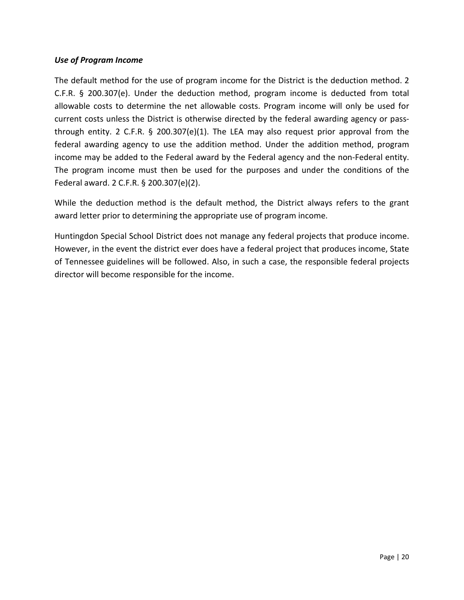#### <span id="page-24-0"></span>*Use of Program Income*

The default method for the use of program income for the District is the deduction method. 2 C.F.R. § 200.307(e). Under the deduction method, program income is deducted from total allowable costs to determine the net allowable costs. Program income will only be used for current costs unless the District is otherwise directed by the federal awarding agency or passthrough entity. 2 C.F.R. § 200.307(e)(1). The LEA may also request prior approval from the federal awarding agency to use the addition method. Under the addition method, program income may be added to the Federal award by the Federal agency and the non-Federal entity. The program income must then be used for the purposes and under the conditions of the Federal award. 2 C.F.R. § 200.307(e)(2).

While the deduction method is the default method, the District always refers to the grant award letter prior to determining the appropriate use of program income.

Huntingdon Special School District does not manage any federal projects that produce income. However, in the event the district ever does have a federal project that produces income, State of Tennessee guidelines will be followed. Also, in such a case, the responsible federal projects director will become responsible for the income.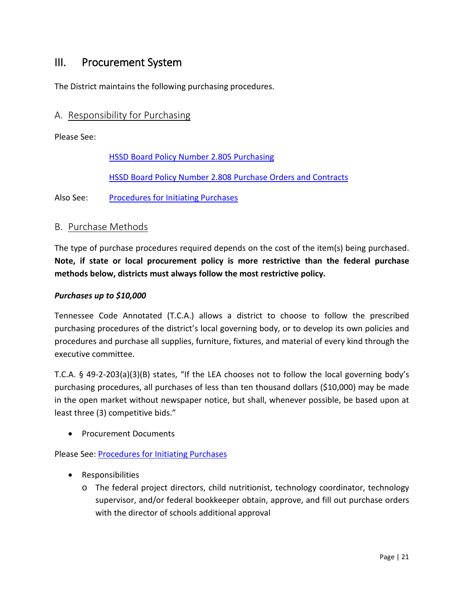# <span id="page-25-0"></span>III. Procurement System

The District maintains the following purchasing procedures.

## <span id="page-25-1"></span>A. Responsibility for Purchasing

Please See:

[HSSD Board Policy Number 2.805 Purchasing](http://images.pcmac.org/Uploads/TennesseeSBA/TennesseeSBA/Departments/DocumentsCategories/Documents/2805_62.pdf)

[HSSD Board Policy Number 2.808 Purchase Orders and Contracts](http://images.pcmac.org/Uploads/TennesseeSBA/TennesseeSBA/Departments/DocumentsCategories/Documents/2808_61.pdf)

Also See: [Procedures for Initiating Purchases](http://www.huntingdonschools.net/Download.asp?L=1&LMID=1034795&PN=DocumentUploads&DivisionID=21680&DepartmentID=&SubDepartmentID=&SubP=&Act=Download&T=1&I=569555)

#### <span id="page-25-2"></span>B. Purchase Methods

The type of purchase procedures required depends on the cost of the item(s) being purchased. **Note, if state or local procurement policy is more restrictive than the federal purchase methods below, districts must always follow the most restrictive policy.**

#### <span id="page-25-3"></span>*Purchases up to \$10,000*

Tennessee Code Annotated (T.C.A.) allows a district to choose to follow the prescribed purchasing procedures of the district's local governing body, or to develop its own policies and procedures and purchase all supplies, furniture, fixtures, and material of every kind through the executive committee.

T.C.A. § 49-2-203(a)(3)(B) states, "If the LEA chooses not to follow the local governing body's purchasing procedures, all purchases of less than ten thousand dollars (\$10,000) may be made in the open market without newspaper notice, but shall, whenever possible, be based upon at least three (3) competitive bids."

• Procurement Documents

Please See: [Procedures for Initiating Purchases](http://www.huntingdonschools.net/Download.asp?L=1&LMID=1034795&PN=DocumentUploads&DivisionID=21680&DepartmentID=&SubDepartmentID=&SubP=&Act=Download&T=1&I=569555)

- Responsibilities
	- o The federal project directors, child nutritionist, technology coordinator, technology supervisor, and/or federal bookkeeper obtain, approve, and fill out purchase orders with the director of schools additional approval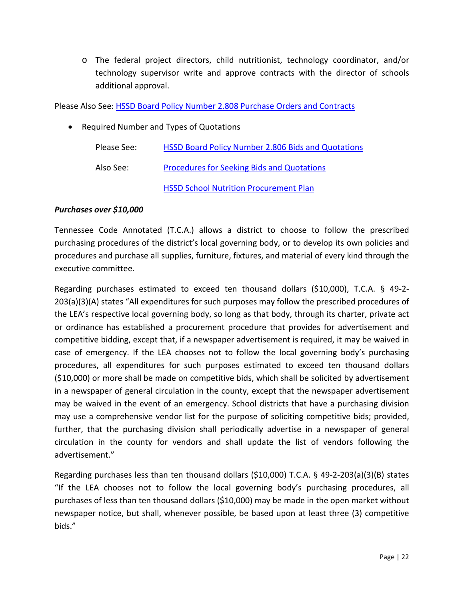o The federal project directors, child nutritionist, technology coordinator, and/or technology supervisor write and approve contracts with the director of schools additional approval.

Please Also See: [HSSD Board Policy Number 2.808 Purchase Orders and Contracts](http://images.pcmac.org/Uploads/TennesseeSBA/TennesseeSBA/Departments/DocumentsCategories/Documents/2808_61.pdf)

• Required Number and Types of Quotations

| Please See: | HSSD Board Policy Number 2.806 Bids and Quotations |
|-------------|----------------------------------------------------|
| Also See:   | Procedures for Seeking Bids and Quotations         |
|             | <b>HSSD School Nutrition Procurement Plan</b>      |

#### <span id="page-26-0"></span>*Purchases over \$10,000*

Tennessee Code Annotated (T.C.A.) allows a district to choose to follow the prescribed purchasing procedures of the district's local governing body, or to develop its own policies and procedures and purchase all supplies, furniture, fixtures, and material of every kind through the executive committee.

Regarding purchases estimated to exceed ten thousand dollars (\$10,000), T.C.A. § 49-2- 203(a)(3)(A) states "All expenditures for such purposes may follow the prescribed procedures of the LEA's respective local governing body, so long as that body, through its charter, private act or ordinance has established a procurement procedure that provides for advertisement and competitive bidding, except that, if a newspaper advertisement is required, it may be waived in case of emergency. If the LEA chooses not to follow the local governing body's purchasing procedures, all expenditures for such purposes estimated to exceed ten thousand dollars (\$10,000) or more shall be made on competitive bids, which shall be solicited by advertisement in a newspaper of general circulation in the county, except that the newspaper advertisement may be waived in the event of an emergency. School districts that have a purchasing division may use a comprehensive vendor list for the purpose of soliciting competitive bids; provided, further, that the purchasing division shall periodically advertise in a newspaper of general circulation in the county for vendors and shall update the list of vendors following the advertisement."

Regarding purchases less than ten thousand dollars (\$10,000) T.C.A. § 49-2-203(a)(3)(B) states "If the LEA chooses not to follow the local governing body's purchasing procedures, all purchases of less than ten thousand dollars (\$10,000) may be made in the open market without newspaper notice, but shall, whenever possible, be based upon at least three (3) competitive bids."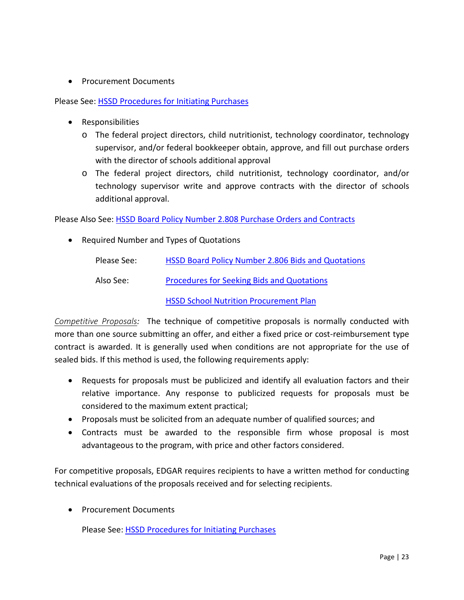• Procurement Documents

Please See: [HSSD Procedures for Initiating Purchases](http://www.huntingdonschools.net/Download.asp?L=1&LMID=1034795&PN=DocumentUploads&DivisionID=21680&DepartmentID=&SubDepartmentID=&SubP=&Act=Download&T=1&I=569555)

- Responsibilities
	- o The federal project directors, child nutritionist, technology coordinator, technology supervisor, and/or federal bookkeeper obtain, approve, and fill out purchase orders with the director of schools additional approval
	- o The federal project directors, child nutritionist, technology coordinator, and/or technology supervisor write and approve contracts with the director of schools additional approval.

Please Also See: [HSSD Board Policy Number 2.808 Purchase Orders and Contracts](http://images.pcmac.org/Uploads/TennesseeSBA/TennesseeSBA/Departments/DocumentsCategories/Documents/2808_61.pdf)

• Required Number and Types of Quotations

| Please See: | HSSD Board Policy Number 2.806 Bids and Quotations |
|-------------|----------------------------------------------------|
| Also See:   | <b>Procedures for Seeking Bids and Quotations</b>  |

[HSSD School Nutrition Procurement Plan](http://www.huntingdonschools.net/Download.asp?L=1&LMID=1034795&PN=DocumentUploads&DivisionID=21680&DepartmentID=&SubDepartmentID=&SubP=&Act=Download&T=1&I=569589)

<span id="page-27-0"></span>*Competitive Proposals:* The technique of competitive proposals is normally conducted with more than one source submitting an offer, and either a fixed price or cost-reimbursement type contract is awarded. It is generally used when conditions are not appropriate for the use of sealed bids. If this method is used, the following requirements apply:

- Requests for proposals must be publicized and identify all evaluation factors and their relative importance. Any response to publicized requests for proposals must be considered to the maximum extent practical;
- Proposals must be solicited from an adequate number of qualified sources; and
- Contracts must be awarded to the responsible firm whose proposal is most advantageous to the program, with price and other factors considered.

For competitive proposals, EDGAR requires recipients to have a written method for conducting technical evaluations of the proposals received and for selecting recipients.

• Procurement Documents

Please See: [HSSD Procedures for Initiating Purchases](http://www.huntingdonschools.net/Download.asp?L=1&LMID=1034795&PN=DocumentUploads&DivisionID=21680&DepartmentID=&SubDepartmentID=&SubP=&Act=Download&T=1&I=569555)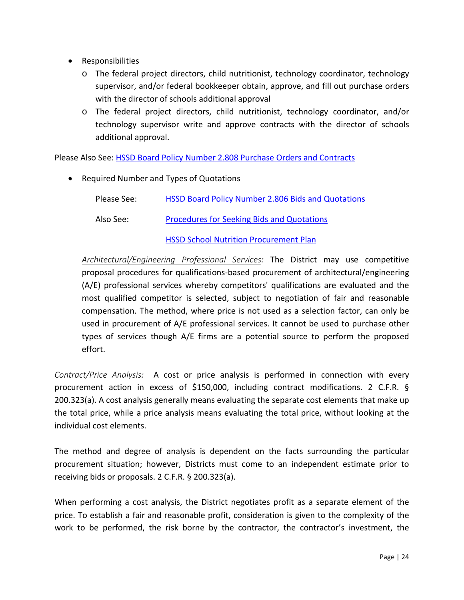- Responsibilities
	- o The federal project directors, child nutritionist, technology coordinator, technology supervisor, and/or federal bookkeeper obtain, approve, and fill out purchase orders with the director of schools additional approval
	- o The federal project directors, child nutritionist, technology coordinator, and/or technology supervisor write and approve contracts with the director of schools additional approval.

Please Also See: [HSSD Board Policy Number 2.808 Purchase Orders and Contracts](http://images.pcmac.org/Uploads/TennesseeSBA/TennesseeSBA/Departments/DocumentsCategories/Documents/2808_61.pdf)

• Required Number and Types of Quotations

| Please See: | HSSD Board Policy Number 2.806 Bids and Quotations |
|-------------|----------------------------------------------------|
| Also See:   | <b>Procedures for Seeking Bids and Quotations</b>  |

#### [HSSD School Nutrition Procurement Plan](http://www.huntingdonschools.net/Download.asp?L=1&LMID=1034795&PN=DocumentUploads&DivisionID=21680&DepartmentID=&SubDepartmentID=&SubP=&Act=Download&T=1&I=569589)

<span id="page-28-0"></span>*Architectural/Engineering Professional Services:* The District may use competitive proposal procedures for qualifications-based procurement of architectural/engineering (A/E) professional services whereby competitors' qualifications are evaluated and the most qualified competitor is selected, subject to negotiation of fair and reasonable compensation. The method, where price is not used as a selection factor, can only be used in procurement of A/E professional services. It cannot be used to purchase other types of services though A/E firms are a potential source to perform the proposed effort.

<span id="page-28-1"></span>*Contract/Price Analysis:* A cost or price analysis is performed in connection with every procurement action in excess of \$150,000, including contract modifications. 2 C.F.R. § 200.323(a). A cost analysis generally means evaluating the separate cost elements that make up the total price, while a price analysis means evaluating the total price, without looking at the individual cost elements.

The method and degree of analysis is dependent on the facts surrounding the particular procurement situation; however, Districts must come to an independent estimate prior to receiving bids or proposals. 2 C.F.R. § 200.323(a).

When performing a cost analysis, the District negotiates profit as a separate element of the price. To establish a fair and reasonable profit, consideration is given to the complexity of the work to be performed, the risk borne by the contractor, the contractor's investment, the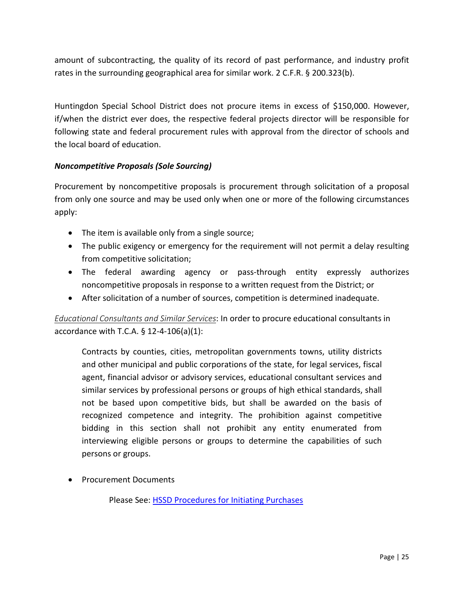amount of subcontracting, the quality of its record of past performance, and industry profit rates in the surrounding geographical area for similar work. 2 C.F.R. § 200.323(b).

Huntingdon Special School District does not procure items in excess of \$150,000. However, if/when the district ever does, the respective federal projects director will be responsible for following state and federal procurement rules with approval from the director of schools and the local board of education.

#### <span id="page-29-0"></span>*Noncompetitive Proposals (Sole Sourcing)*

Procurement by noncompetitive proposals is procurement through solicitation of a proposal from only one source and may be used only when one or more of the following circumstances apply:

- The item is available only from a single source;
- The public exigency or emergency for the requirement will not permit a delay resulting from competitive solicitation;
- The federal awarding agency or pass-through entity expressly authorizes noncompetitive proposals in response to a written request from the District; or
- After solicitation of a number of sources, competition is determined inadequate.

<span id="page-29-1"></span>*Educational Consultants and Similar Services*: In order to procure educational consultants in accordance with T.C.A.  $\S$  12-4-106(a)(1):

Contracts by counties, cities, metropolitan governments towns, utility districts and other municipal and public corporations of the state, for legal services, fiscal agent, financial advisor or advisory services, educational consultant services and similar services by professional persons or groups of high ethical standards, shall not be based upon competitive bids, but shall be awarded on the basis of recognized competence and integrity. The prohibition against competitive bidding in this section shall not prohibit any entity enumerated from interviewing eligible persons or groups to determine the capabilities of such persons or groups.

<span id="page-29-2"></span>• Procurement Documents

Please See: [HSSD Procedures for Initiating Purchases](http://www.huntingdonschools.net/Download.asp?L=1&LMID=1034795&PN=DocumentUploads&DivisionID=21680&DepartmentID=&SubDepartmentID=&SubP=&Act=Download&T=1&I=569555)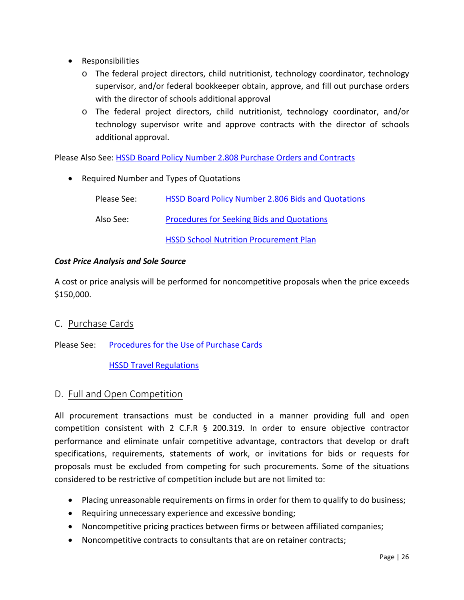- Responsibilities
	- o The federal project directors, child nutritionist, technology coordinator, technology supervisor, and/or federal bookkeeper obtain, approve, and fill out purchase orders with the director of schools additional approval
	- o The federal project directors, child nutritionist, technology coordinator, and/or technology supervisor write and approve contracts with the director of schools additional approval.

Please Also See: [HSSD Board Policy Number 2.808 Purchase Orders and Contracts](http://images.pcmac.org/Uploads/TennesseeSBA/TennesseeSBA/Departments/DocumentsCategories/Documents/2808_61.pdf)

• Required Number and Types of Quotations Please See: [HSSD Board Policy Number 2.806 Bids and Quotations](http://images.pcmac.org/Uploads/TennesseeSBA/TennesseeSBA/Departments/DocumentsCategories/Documents/2806_61.pdf) Also See: [Procedures for Seeking Bids and Quotations](http://www.huntingdonschools.net/Download.asp?L=1&LMID=1034795&PN=DocumentUploads&DivisionID=21680&DepartmentID=&SubDepartmentID=&SubP=&Act=Download&T=1&I=569561) [HSSD School Nutrition Procurement Plan](http://www.huntingdonschools.net/Download.asp?L=1&LMID=1034795&PN=DocumentUploads&DivisionID=21680&DepartmentID=&SubDepartmentID=&SubP=&Act=Download&T=1&I=569589)

#### *Cost Price Analysis and Sole Source*

A cost or price analysis will be performed for noncompetitive proposals when the price exceeds \$150,000.

- <span id="page-30-0"></span>C. Purchase Cards
- Please See: [Procedures for the Use of Purchase Cards](http://www.huntingdonschools.net/Download.asp?L=1&LMID=1034795&PN=DocumentUploads&DivisionID=21680&DepartmentID=&SubDepartmentID=&SubP=&Act=Download&T=1&I=569569)

#### **[HSSD Travel Regulations](http://www.huntingdonschools.net/Download.asp?L=1&LMID=1034795&PN=DocumentUploads&DivisionID=21680&DepartmentID=&SubDepartmentID=&SubP=&Act=Download&T=1&I=569590)**

#### <span id="page-30-1"></span>D. Full and Open Competition

All procurement transactions must be conducted in a manner providing full and open competition consistent with 2 C.F.R  $\S$  200.319. In order to ensure objective contractor performance and eliminate unfair competitive advantage, contractors that develop or draft specifications, requirements, statements of work, or invitations for bids or requests for proposals must be excluded from competing for such procurements. Some of the situations considered to be restrictive of competition include but are not limited to:

- Placing unreasonable requirements on firms in order for them to qualify to do business;
- Requiring unnecessary experience and excessive bonding;
- Noncompetitive pricing practices between firms or between affiliated companies;
- Noncompetitive contracts to consultants that are on retainer contracts;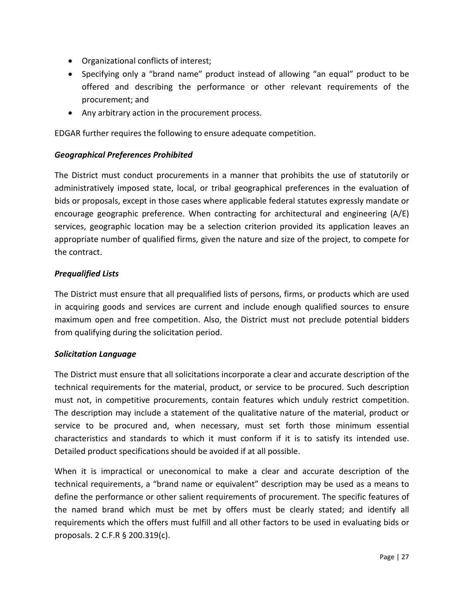- Organizational conflicts of interest;
- Specifying only a "brand name" product instead of allowing "an equal" product to be offered and describing the performance or other relevant requirements of the procurement; and
- Any arbitrary action in the procurement process.

EDGAR further requires the following to ensure adequate competition.

#### <span id="page-31-0"></span>*Geographical Preferences Prohibited*

The District must conduct procurements in a manner that prohibits the use of statutorily or administratively imposed state, local, or tribal geographical preferences in the evaluation of bids or proposals, except in those cases where applicable federal statutes expressly mandate or encourage geographic preference. When contracting for architectural and engineering (A/E) services, geographic location may be a selection criterion provided its application leaves an appropriate number of qualified firms, given the nature and size of the project, to compete for the contract.

#### <span id="page-31-1"></span>*Prequalified Lists*

The District must ensure that all prequalified lists of persons, firms, or products which are used in acquiring goods and services are current and include enough qualified sources to ensure maximum open and free competition. Also, the District must not preclude potential bidders from qualifying during the solicitation period.

#### <span id="page-31-2"></span>*Solicitation Language*

The District must ensure that all solicitations incorporate a clear and accurate description of the technical requirements for the material, product, or service to be procured. Such description must not, in competitive procurements, contain features which unduly restrict competition. The description may include a statement of the qualitative nature of the material, product or service to be procured and, when necessary, must set forth those minimum essential characteristics and standards to which it must conform if it is to satisfy its intended use. Detailed product specifications should be avoided if at all possible.

When it is impractical or uneconomical to make a clear and accurate description of the technical requirements, a "brand name or equivalent" description may be used as a means to define the performance or other salient requirements of procurement. The specific features of the named brand which must be met by offers must be clearly stated; and identify all requirements which the offers must fulfill and all other factors to be used in evaluating bids or proposals. 2 C.F.R § 200.319(c).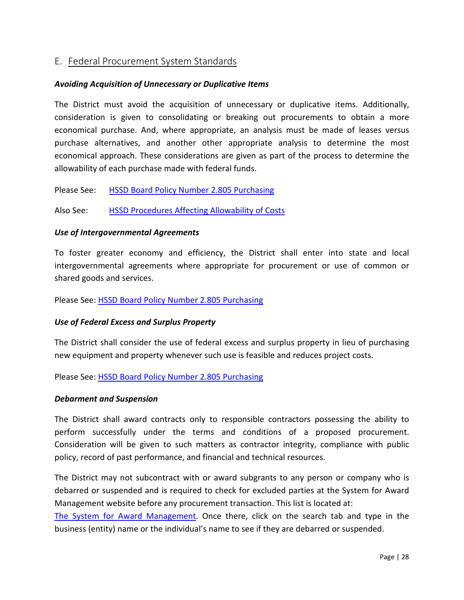## <span id="page-32-0"></span>E. Federal Procurement System Standards

#### <span id="page-32-1"></span>*Avoiding Acquisition of Unnecessary or Duplicative Items*

The District must avoid the acquisition of unnecessary or duplicative items. Additionally, consideration is given to consolidating or breaking out procurements to obtain a more economical purchase. And, where appropriate, an analysis must be made of leases versus purchase alternatives, and another other appropriate analysis to determine the most economical approach. These considerations are given as part of the process to determine the allowability of each purchase made with federal funds.

<span id="page-32-2"></span>Please See: [HSSD Board Policy Number 2.805 Purchasing](http://images.pcmac.org/Uploads/TennesseeSBA/TennesseeSBA/Departments/DocumentsCategories/Documents/2805_62.pdf)

Also See: [HSSD Procedures Affecting Allowability of Costs](http://www.huntingdonschools.net/Download.asp?L=1&LMID=1034795&PN=DocumentUploads&DivisionID=21680&DepartmentID=&SubDepartmentID=&SubP=&Act=Download&T=1&I=569534)

#### *Use of Intergovernmental Agreements*

To foster greater economy and efficiency, the District shall enter into state and local intergovernmental agreements where appropriate for procurement or use of common or shared goods and services.

<span id="page-32-3"></span>Please See: [HSSD Board Policy Number 2.805 Purchasing](http://images.pcmac.org/Uploads/TennesseeSBA/TennesseeSBA/Departments/DocumentsCategories/Documents/2805_62.pdf)

#### *Use of Federal Excess and Surplus Property*

The District shall consider the use of federal excess and surplus property in lieu of purchasing new equipment and property whenever such use is feasible and reduces project costs.

<span id="page-32-4"></span>Please See: [HSSD Board Policy Number 2.805 Purchasing](http://images.pcmac.org/Uploads/TennesseeSBA/TennesseeSBA/Departments/DocumentsCategories/Documents/2805_62.pdf)

#### *Debarment and Suspension*

The District shall award contracts only to responsible contractors possessing the ability to perform successfully under the terms and conditions of a proposed procurement. Consideration will be given to such matters as contractor integrity, compliance with public policy, record of past performance, and financial and technical resources.

The District may not subcontract with or award subgrants to any person or company who is debarred or suspended and is required to check for excluded parties at the System for Award Management website before any procurement transaction. This list is located at:

[The System for Award Management.](https://www.sam.gov/portal/SAM/?navigationalstate=JBPNS_rO0ABXdcACJqYXZheC5mYWNlcy5wb3J0bGV0YnJpZGdlLlNUQVRFX0lEAAAAAQApdmlldzpiNzNjOTEzOC1hNzQ1LTQyOWYtYmFhNS1iOGVhOTk4ZmQ1MzUAB19fRU9GX18*&portal:componentId=9c7c412d-0e75-4bfd-8223-f425559b9408&interactionstate=JBPNS_rO0ABXc0ABBfanNmQnJpZGdlVmlld0lkAAAAAQATL2pzZi9uYXZpZ2F0aW9uLmpzcAAHX19FT0ZfXw**&portal:type=action#1) Once there, click on the search tab and type in the business (entity) name or the individual's name to see if they are debarred or suspended.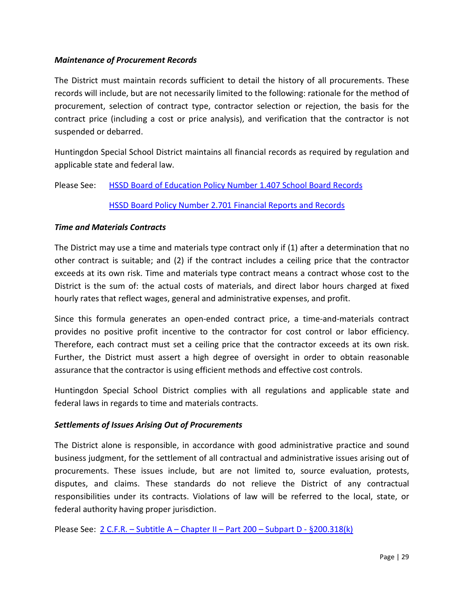#### <span id="page-33-0"></span>*Maintenance of Procurement Records*

The District must maintain records sufficient to detail the history of all procurements. These records will include, but are not necessarily limited to the following: rationale for the method of procurement, selection of contract type, contractor selection or rejection, the basis for the contract price (including a cost or price analysis), and verification that the contractor is not suspended or debarred.

Huntingdon Special School District maintains all financial records as required by regulation and applicable state and federal law.

Please See: [HSSD Board of Education Policy Number 1.407 School Board Records](http://images.pcmac.org/Uploads/TennesseeSBA/TennesseeSBA/Departments/DocumentsCategories/Documents/1407_66.pdf)

#### [HSSD Board Policy Number 2.701 Financial Reports and Records](http://images.pcmac.org/Uploads/TennesseeSBA/TennesseeSBA/Departments/DocumentsCategories/Documents/2701_57.pdf)

#### <span id="page-33-1"></span>*Time and Materials Contracts*

The District may use a time and materials type contract only if (1) after a determination that no other contract is suitable; and (2) if the contract includes a ceiling price that the contractor exceeds at its own risk. Time and materials type contract means a contract whose cost to the District is the sum of: the actual costs of materials, and direct labor hours charged at fixed hourly rates that reflect wages, general and administrative expenses, and profit.

Since this formula generates an open-ended contract price, a time-and-materials contract provides no positive profit incentive to the contractor for cost control or labor efficiency. Therefore, each contract must set a ceiling price that the contractor exceeds at its own risk. Further, the District must assert a high degree of oversight in order to obtain reasonable assurance that the contractor is using efficient methods and effective cost controls.

Huntingdon Special School District complies with all regulations and applicable state and federal laws in regards to time and materials contracts.

#### <span id="page-33-2"></span>*Settlements of Issues Arising Out of Procurements*

The District alone is responsible, in accordance with good administrative practice and sound business judgment, for the settlement of all contractual and administrative issues arising out of procurements. These issues include, but are not limited to, source evaluation, protests, disputes, and claims. These standards do not relieve the District of any contractual responsibilities under its contracts. Violations of law will be referred to the local, state, or federal authority having proper jurisdiction.

Please See: 2 C.F.R. – Subtitle A – [Chapter II –](http://www.ecfr.gov/cgi-bin/text-idx?node=se2.1.200_1318&rgn=div8) Part 200 – Subpart D - §200.318(k)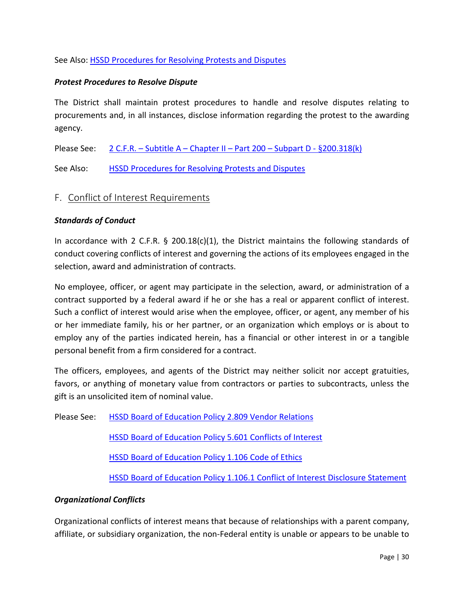#### See Also: [HSSD Procedures for Resolving Protests and Disputes](http://www.huntingdonschools.net/Download.asp?L=1&LMID=1034795&PN=DocumentUploads&DivisionID=21680&DepartmentID=&SubDepartmentID=&SubP=&Act=Download&T=1&I=569588)

#### <span id="page-34-0"></span>*Protest Procedures to Resolve Dispute*

The District shall maintain protest procedures to handle and resolve disputes relating to procurements and, in all instances, disclose information regarding the protest to the awarding agency.

Please See: 2 C.F.R. – Subtitle  $A$  – [Chapter II –](http://www.ecfr.gov/cgi-bin/text-idx?node=se2.1.200_1318&rgn=div8) Part 200 – Subpart D -  $\S 200.318(k)$ 

See Also: [HSSD Procedures for Resolving Protests and Disputes](http://www.huntingdonschools.net/Download.asp?L=1&LMID=1034795&PN=DocumentUploads&DivisionID=21680&DepartmentID=&SubDepartmentID=&SubP=&Act=Download&T=1&I=569588)

#### <span id="page-34-1"></span>F. Conflict of Interest Requirements

#### <span id="page-34-2"></span>*Standards of Conduct*

In accordance with 2 C.F.R.  $\S$  200.18(c)(1), the District maintains the following standards of conduct covering conflicts of interest and governing the actions of its employees engaged in the selection, award and administration of contracts.

No employee, officer, or agent may participate in the selection, award, or administration of a contract supported by a federal award if he or she has a real or apparent conflict of interest. Such a conflict of interest would arise when the employee, officer, or agent, any member of his or her immediate family, his or her partner, or an organization which employs or is about to employ any of the parties indicated herein, has a financial or other interest in or a tangible personal benefit from a firm considered for a contract.

The officers, employees, and agents of the District may neither solicit nor accept gratuities, favors, or anything of monetary value from contractors or parties to subcontracts, unless the gift is an unsolicited item of nominal value.

Please See: [HSSD Board of Education Policy 2.809 Vendor Relations](http://images.pcmac.org/Uploads/TennesseeSBA/TennesseeSBA/Departments/DocumentsCategories/Documents/2809_59.pdf)

[HSSD Board of Education Policy 5.601 Conflicts of Interest](http://images.pcmac.org/Uploads/TennesseeSBA/TennesseeSBA/Departments/DocumentsCategories/Documents/5601_62.pdf)

HSSD Board of [Education Policy 1.106 Code of Ethics](http://images.pcmac.org/Uploads/TennesseeSBA/TennesseeSBA/Departments/DocumentsCategories/Documents/1106_67.pdf)

[HSSD Board of Education Policy 1.106.1 Conflict of Interest Disclosure Statement](http://images.pcmac.org/Uploads/TennesseeSBA/TennesseeSBA/Departments/DocumentsCategories/Documents/1106_22.1_22.pdf)

#### <span id="page-34-3"></span>*Organizational Conflicts*

Organizational conflicts of interest means that because of relationships with a parent company, affiliate, or subsidiary organization, the non-Federal entity is unable or appears to be unable to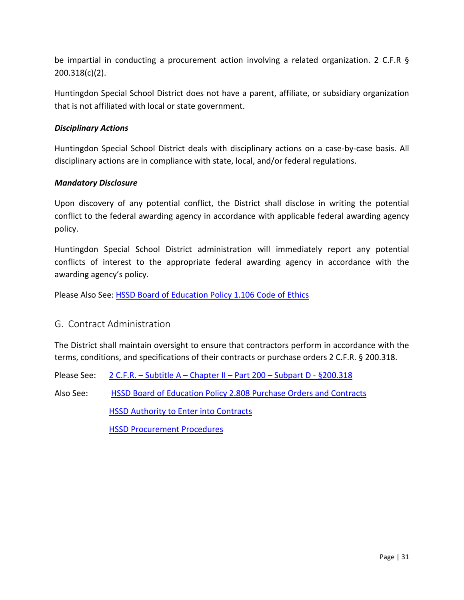be impartial in conducting a procurement action involving a related organization. 2 C.F.R § 200.318(c)(2).

Huntingdon Special School District does not have a parent, affiliate, or subsidiary organization that is not affiliated with local or state government.

#### <span id="page-35-0"></span>*Disciplinary Actions*

Huntingdon Special School District deals with disciplinary actions on a case-by-case basis. All disciplinary actions are in compliance with state, local, and/or federal regulations.

#### <span id="page-35-1"></span>*Mandatory Disclosure*

Upon discovery of any potential conflict, the District shall disclose in writing the potential conflict to the federal awarding agency in accordance with applicable federal awarding agency policy.

Huntingdon Special School District administration will immediately report any potential conflicts of interest to the appropriate federal awarding agency in accordance with the awarding agency's policy.

Please Also See: [HSSD Board of Education Policy 1.106 Code of Ethics](http://images.pcmac.org/Uploads/TennesseeSBA/TennesseeSBA/Departments/DocumentsCategories/Documents/1106_67.pdf)

#### <span id="page-35-2"></span>G. Contract Administration

The District shall maintain oversight to ensure that contractors perform in accordance with the terms, conditions, and specifications of their contracts or purchase orders 2 C.F.R. § 200.318.

- Please See: 2 C.F.R. Subtitle A [Chapter II –](http://www.ecfr.gov/cgi-bin/text-idx?SID=bd77eecb75aa51d6953e5657d2314a0e&mc=true&node=pt2.1.200&rgn=div5#se2.1.200_1318) Part 200 Subpart D  $\S 200.318$
- Also See: [HSSD Board of Education Policy 2.808 Purchase Orders and Contracts](http://images.pcmac.org/Uploads/TennesseeSBA/TennesseeSBA/Departments/DocumentsCategories/Documents/2808_61.pdf)

**[HSSD Authority to Enter into Contracts](http://www.huntingdonschools.net/Download.asp?L=1&LMID=1034795&PN=DocumentUploads&DivisionID=21680&DepartmentID=&SubDepartmentID=&SubP=&Act=Download&T=1&I=569566)** 

[HSSD Procurement Procedures](http://www.huntingdonschools.net/Download.asp?L=1&LMID=1034795&PN=DocumentUploads&DivisionID=21680&DepartmentID=&SubDepartmentID=&SubP=&Act=Download&T=1&I=569556)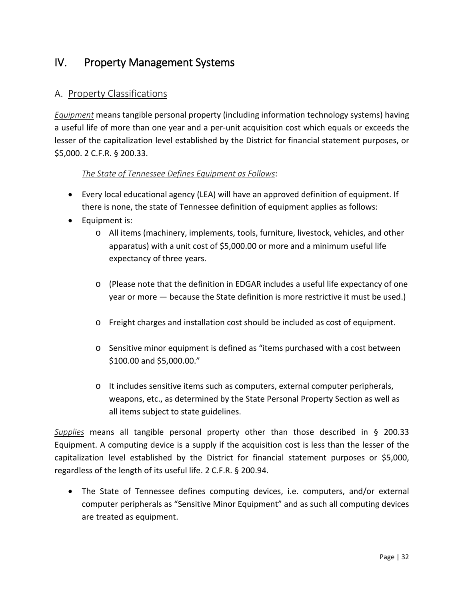# <span id="page-36-0"></span>IV. Property Management Systems

## <span id="page-36-1"></span>A. Property Classifications

<span id="page-36-2"></span>*Equipment* means tangible personal property (including information technology systems) having a useful life of more than one year and a per-unit acquisition cost which equals or exceeds the lesser of the capitalization level established by the District for financial statement purposes, or \$5,000. 2 C.F.R. § 200.33.

#### *The State of Tennessee Defines Equipment as Follows*:

- Every local educational agency (LEA) will have an approved definition of equipment. If there is none, the state of Tennessee definition of equipment applies as follows:
- Equipment is:
	- o All items (machinery, implements, tools, furniture, livestock, vehicles, and other apparatus) with a unit cost of \$5,000.00 or more and a minimum useful life expectancy of three years.
	- o (Please note that the definition in EDGAR includes a useful life expectancy of one year or more — because the State definition is more restrictive it must be used.)
	- o Freight charges and installation cost should be included as cost of equipment.
	- o Sensitive minor equipment is defined as "items purchased with a cost between \$100.00 and \$5,000.00."
	- o It includes sensitive items such as computers, external computer peripherals, weapons, etc., as determined by the State Personal Property Section as well as all items subject to state guidelines.

<span id="page-36-3"></span>*Supplies* means all tangible personal property other than those described in § 200.33 Equipment. A computing device is a supply if the acquisition cost is less than the lesser of the capitalization level established by the District for financial statement purposes or \$5,000, regardless of the length of its useful life. 2 C.F.R. § 200.94.

• The State of Tennessee defines computing devices, i.e. computers, and/or external computer peripherals as "Sensitive Minor Equipment" and as such all computing devices are treated as equipment.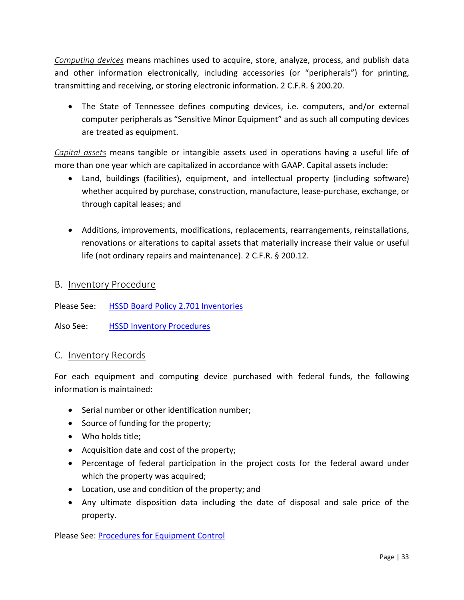<span id="page-37-0"></span>*Computing devices* means machines used to acquire, store, analyze, process, and publish data and other information electronically, including accessories (or "peripherals") for printing, transmitting and receiving, or storing electronic information. 2 C.F.R. § 200.20.

• The State of Tennessee defines computing devices, i.e. computers, and/or external computer peripherals as "Sensitive Minor Equipment" and as such all computing devices are treated as equipment.

<span id="page-37-1"></span>*Capital assets* means tangible or intangible assets used in operations having a useful life of more than one year which are capitalized in accordance with GAAP. Capital assets include:

- Land, buildings (facilities), equipment, and intellectual property (including software) whether acquired by purchase, construction, manufacture, lease-purchase, exchange, or through capital leases; and
- Additions, improvements, modifications, replacements, rearrangements, reinstallations, renovations or alterations to capital assets that materially increase their value or useful life (not ordinary repairs and maintenance). 2 C.F.R. § 200.12.

#### <span id="page-37-2"></span>B. Inventory Procedure

Please See: [HSSD Board Policy 2.701 Inventories](http://images.pcmac.org/Uploads/TennesseeSBA/TennesseeSBA/Departments/DocumentsCategories/Documents/2702_62.pdf)

Also See: [HSSD Inventory Procedures](http://www.huntingdonschools.net/Download.asp?L=1&LMID=1034795&PN=DocumentUploads&DivisionID=21680&DepartmentID=&SubDepartmentID=&SubP=&Act=Download&T=1&I=569575)

#### <span id="page-37-3"></span>C. Inventory Records

For each equipment and computing device purchased with federal funds, the following information is maintained:

- Serial number or other identification number;
- Source of funding for the property;
- Who holds title;
- Acquisition date and cost of the property;
- Percentage of federal participation in the project costs for the federal award under which the property was acquired;
- Location, use and condition of the property; and
- Any ultimate disposition data including the date of disposal and sale price of the property.

Please See: [Procedures for Equipment Control](http://www.huntingdonschools.net/Download.asp?L=1&LMID=1034795&PN=DocumentUploads&DivisionID=21680&DepartmentID=&SubDepartmentID=&SubP=&Act=Download&T=1&I=569570)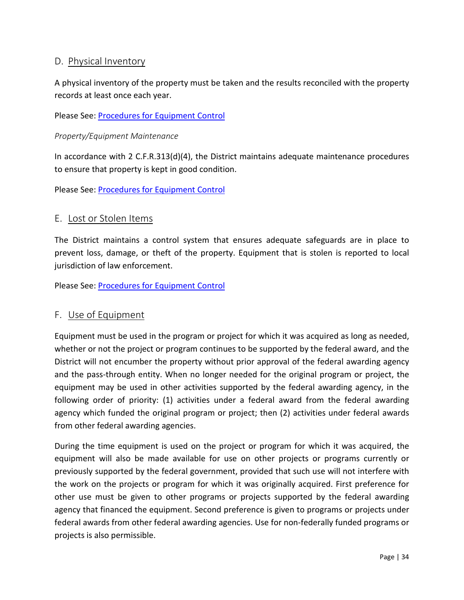## <span id="page-38-0"></span>D. Physical Inventory

<span id="page-38-1"></span>A physical inventory of the property must be taken and the results reconciled with the property records at least once each year.

Please See: [Procedures for Equipment Control](http://www.huntingdonschools.net/Download.asp?L=1&LMID=1034795&PN=DocumentUploads&DivisionID=21680&DepartmentID=&SubDepartmentID=&SubP=&Act=Download&T=1&I=569570)

#### *Property/Equipment Maintenance*

In accordance with 2 C.F.R.313(d)(4), the District maintains adequate maintenance procedures to ensure that property is kept in good condition.

Please See: [Procedures for Equipment Control](http://www.huntingdonschools.net/Download.asp?L=1&LMID=1034795&PN=DocumentUploads&DivisionID=21680&DepartmentID=&SubDepartmentID=&SubP=&Act=Download&T=1&I=569570)

#### <span id="page-38-2"></span>E. Lost or Stolen Items

The District maintains a control system that ensures adequate safeguards are in place to prevent loss, damage, or theft of the property. Equipment that is stolen is reported to local jurisdiction of law enforcement.

Please See: [Procedures for Equipment Control](http://www.huntingdonschools.net/Download.asp?L=1&LMID=1034795&PN=DocumentUploads&DivisionID=21680&DepartmentID=&SubDepartmentID=&SubP=&Act=Download&T=1&I=569570)

#### <span id="page-38-3"></span>F. Use of Equipment

Equipment must be used in the program or project for which it was acquired as long as needed, whether or not the project or program continues to be supported by the federal award, and the District will not encumber the property without prior approval of the federal awarding agency and the pass-through entity. When no longer needed for the original program or project, the equipment may be used in other activities supported by the federal awarding agency, in the following order of priority: (1) activities under a federal award from the federal awarding agency which funded the original program or project; then (2) activities under federal awards from other federal awarding agencies.

During the time equipment is used on the project or program for which it was acquired, the equipment will also be made available for use on other projects or programs currently or previously supported by the federal government, provided that such use will not interfere with the work on the projects or program for which it was originally acquired. First preference for other use must be given to other programs or projects supported by the federal awarding agency that financed the equipment. Second preference is given to programs or projects under federal awards from other federal awarding agencies. Use for non-federally funded programs or projects is also permissible.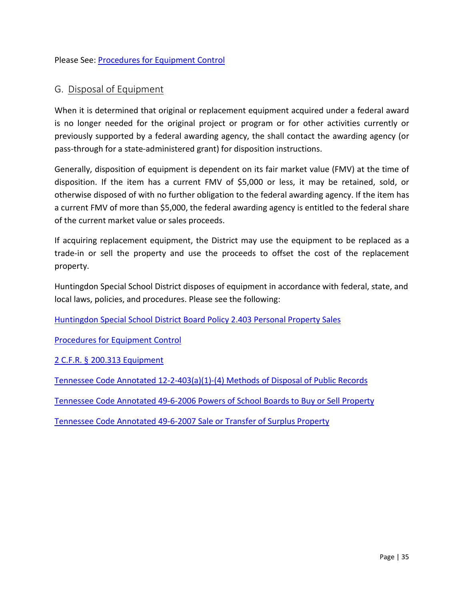Please See: [Procedures for Equipment Control](http://www.huntingdonschools.net/Download.asp?L=1&LMID=1034795&PN=DocumentUploads&DivisionID=21680&DepartmentID=&SubDepartmentID=&SubP=&Act=Download&T=1&I=569570)

## <span id="page-39-0"></span>G. Disposal of Equipment

When it is determined that original or replacement equipment acquired under a federal award is no longer needed for the original project or program or for other activities currently or previously supported by a federal awarding agency, the shall contact the awarding agency (or pass-through for a state-administered grant) for disposition instructions.

Generally, disposition of equipment is dependent on its fair market value (FMV) at the time of disposition. If the item has a current FMV of \$5,000 or less, it may be retained, sold, or otherwise disposed of with no further obligation to the federal awarding agency. If the item has a current FMV of more than \$5,000, the federal awarding agency is entitled to the federal share of the current market value or sales proceeds.

If acquiring replacement equipment, the District may use the equipment to be replaced as a trade-in or sell the property and use the proceeds to offset the cost of the replacement property.

Huntingdon Special School District disposes of equipment in accordance with federal, state, and local laws, policies, and procedures. Please see the following:

Huntingdon [Special School District Board Policy 2.403 Personal Property Sales](http://images.pcmac.org/Uploads/TennesseeSBA/TennesseeSBA/Departments/DocumentsCategories/Documents/2403_61.pdf)

Procedures [for Equipment Control](http://www.huntingdonschools.net/Download.asp?L=1&LMID=1034795&PN=DocumentUploads&DivisionID=21680&DepartmentID=&SubDepartmentID=&SubP=&Act=Download&T=1&I=569570)

2 C.F.R. § [200.313 Equipment](http://www.ecfr.gov/cgi-bin/text-idx?SID=5ef2a6179c2983d5b18a428163919756&node=se2.1.200_1313&rgn=div8)

[Tennessee Code Annotated 12-2-403\(a\)\(1\)-\(4\)](http://www.huntingdonschools.net/Download.asp?L=1&LMID=1034795&PN=DocumentUploads&DivisionID=21680&DepartmentID=&SubDepartmentID=&SubP=&Act=Download&T=1&I=569603) Methods of Disposal of Public Records

Tennessee Code Annotated 49-6-2006 [Powers of School Boards to Buy or Sell Property](http://www.huntingdonschools.net/Download.asp?L=1&LMID=1034795&PN=DocumentUploads&DivisionID=21680&DepartmentID=&SubDepartmentID=&SubP=&Act=Download&T=1&I=569618)

[Tennessee Code Annotated 49-6-2007](http://www.huntingdonschools.net/Download.asp?L=1&LMID=1034795&PN=DocumentUploads&DivisionID=21680&DepartmentID=&SubDepartmentID=&SubP=&Act=Download&T=1&I=569619) Sale or Transfer of Surplus Property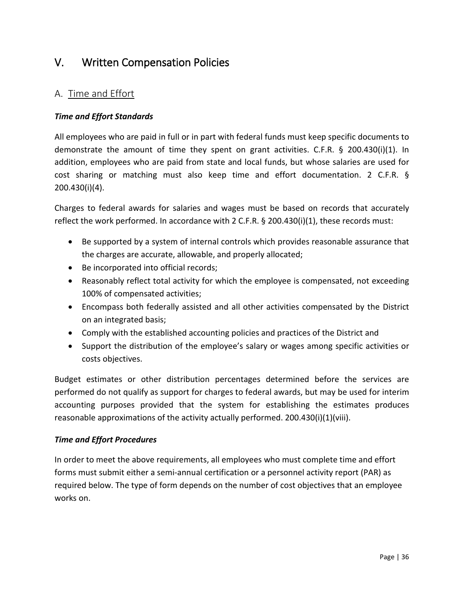# <span id="page-40-0"></span>V. Written Compensation Policies

# <span id="page-40-1"></span>A. Time and Effort

#### <span id="page-40-2"></span>*Time and Effort Standards*

All employees who are paid in full or in part with federal funds must keep specific documents to demonstrate the amount of time they spent on grant activities. C.F.R. § 200.430(i)(1). In addition, employees who are paid from state and local funds, but whose salaries are used for cost sharing or matching must also keep time and effort documentation. 2 C.F.R. § 200.430(i)(4).

Charges to federal awards for salaries and wages must be based on records that accurately reflect the work performed. In accordance with 2 C.F.R. § 200.430(i)(1), these records must:

- Be supported by a system of internal controls which provides reasonable assurance that the charges are accurate, allowable, and properly allocated;
- Be incorporated into official records;
- Reasonably reflect total activity for which the employee is compensated, not exceeding 100% of compensated activities;
- Encompass both federally assisted and all other activities compensated by the District on an integrated basis;
- Comply with the established accounting policies and practices of the District and
- Support the distribution of the employee's salary or wages among specific activities or costs objectives.

Budget estimates or other distribution percentages determined before the services are performed do not qualify as support for charges to federal awards, but may be used for interim accounting purposes provided that the system for establishing the estimates produces reasonable approximations of the activity actually performed. 200.430(i)(1)(viii).

#### <span id="page-40-3"></span>*Time and Effort Procedures*

In order to meet the above requirements, all employees who must complete time and effort forms must submit either a semi-annual certification or a personnel activity report (PAR) as required below. The type of form depends on the number of cost objectives that an employee works on.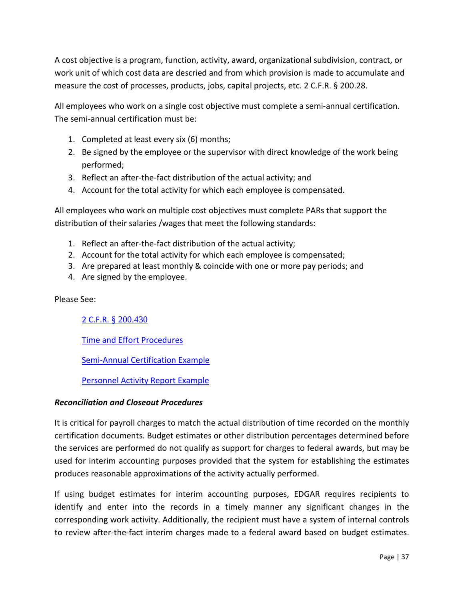A cost objective is a program, function, activity, award, organizational subdivision, contract, or work unit of which cost data are descried and from which provision is made to accumulate and measure the cost of processes, products, jobs, capital projects, etc. 2 C.F.R. § 200.28.

All employees who work on a single cost objective must complete a semi-annual certification. The semi-annual certification must be:

- 1. Completed at least every six (6) months;
- 2. Be signed by the employee or the supervisor with direct knowledge of the work being performed;
- 3. Reflect an after-the-fact distribution of the actual activity; and
- 4. Account for the total activity for which each employee is compensated.

All employees who work on multiple cost objectives must complete PARs that support the distribution of their salaries /wages that meet the following standards:

- 1. Reflect an after-the-fact distribution of the actual activity;
- 2. Account for the total activity for which each employee is compensated;
- 3. Are prepared at least monthly & coincide with one or more pay periods; and
- 4. Are signed by the employee.

Please See:

2 C.F.R. [§ 200.430](http://www.ecfr.gov/cgi-bin/text-idx?node=se2.1.200_1430&rgn=div8)

[Time and Effort Procedures](http://www.huntingdonschools.net/Download.asp?L=1&LMID=1034795&PN=DocumentUploads&DivisionID=21680&DepartmentID=&SubDepartmentID=&SubP=&Act=Download&T=1&I=569577)

[Semi-Annual Certification Example](http://www.huntingdonschools.net/Download.asp?L=1&LMID=1034795&PN=DocumentUploads&DivisionID=21680&DepartmentID=&SubDepartmentID=&SubP=&Act=Download&T=1&I=569601)

[Personnel Activity Report Example](http://www.huntingdonschools.net/Download.asp?L=1&LMID=1034795&PN=DocumentUploads&DivisionID=21680&DepartmentID=&SubDepartmentID=&SubP=&Act=Download&T=1&I=569599)

#### <span id="page-41-0"></span>*Reconciliation and Closeout Procedures*

It is critical for payroll charges to match the actual distribution of time recorded on the monthly certification documents. Budget estimates or other distribution percentages determined before the services are performed do not qualify as support for charges to federal awards, but may be used for interim accounting purposes provided that the system for establishing the estimates produces reasonable approximations of the activity actually performed.

If using budget estimates for interim accounting purposes, EDGAR requires recipients to identify and enter into the records in a timely manner any significant changes in the corresponding work activity. Additionally, the recipient must have a system of internal controls to review after-the-fact interim charges made to a federal award based on budget estimates.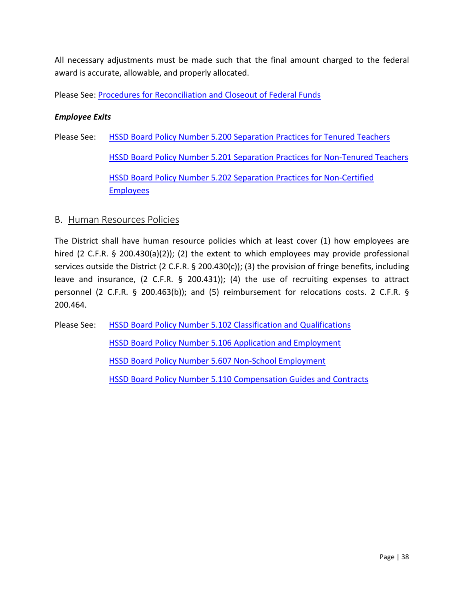All necessary adjustments must be made such that the final amount charged to the federal award is accurate, allowable, and properly allocated.

<span id="page-42-0"></span>Please See: [Procedures for Reconciliation and Closeout of Federal Funds](http://www.huntingdonschools.net/Download.asp?L=1&LMID=1034795&PN=DocumentUploads&DivisionID=21680&DepartmentID=&SubDepartmentID=&SubP=&Act=Download&T=1&I=569560)

#### *Employee Exits*

Please See: [HSSD Board Policy Number 5.200 Separation Practices for Tenured Teachers](http://images.pcmac.org/Uploads/TennesseeSBA/TennesseeSBA/Departments/DocumentsCategories/Documents/5200_65.pdf) [HSSD Board Policy Number 5.201 Separation Practices for Non-Tenured Teachers](http://images.pcmac.org/Uploads/TennesseeSBA/TennesseeSBA/Departments/DocumentsCategories/Documents/5201_61.pdf) [HSSD Board Policy Number 5.202 Separation Practices for Non-Certified](http://images.pcmac.org/Uploads/TennesseeSBA/TennesseeSBA/Departments/DocumentsCategories/Documents/5202_62.pdf)  [Employees](http://images.pcmac.org/Uploads/TennesseeSBA/TennesseeSBA/Departments/DocumentsCategories/Documents/5202_62.pdf)

#### <span id="page-42-1"></span>B. Human Resources Policies

The District shall have human resource policies which at least cover (1) how employees are hired (2 C.F.R. § 200.430(a)(2)); (2) the extent to which employees may provide professional services outside the District (2 C.F.R. § 200.430(c)); (3) the provision of fringe benefits, including leave and insurance, (2 C.F.R. § 200.431)); (4) the use of recruiting expenses to attract personnel (2 C.F.R. § 200.463(b)); and (5) reimbursement for relocations costs. 2 C.F.R. § 200.464.

Please See: [HSSD Board Policy Number 5.102 Classification and Qualifications](http://images.pcmac.org/Uploads/TennesseeSBA/TennesseeSBA/Departments/DocumentsCategories/Documents/5102_62.pdf) [HSSD Board Policy Number 5.106 Application and Employment](http://images.pcmac.org/Uploads/TennesseeSBA/TennesseeSBA/Departments/DocumentsCategories/Documents/5106_61.pdf) [HSSD Board Policy Number 5.607 Non-School Employment](http://images.pcmac.org/Uploads/TennesseeSBA/TennesseeSBA/Departments/DocumentsCategories/Documents/5607_57.pdf) [HSSD Board Policy Number 5.110 Compensation Guides and Contracts](http://images.pcmac.org/Uploads/TennesseeSBA/TennesseeSBA/Departments/DocumentsCategories/Documents/5110_62.pdf)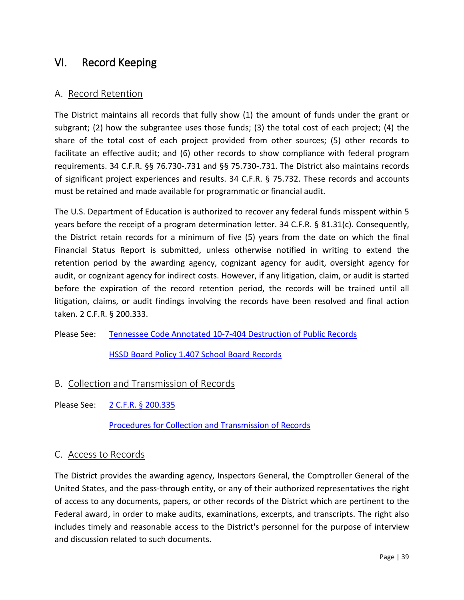# <span id="page-43-0"></span>VI. Record Keeping

## <span id="page-43-1"></span>A. Record Retention

The District maintains all records that fully show (1) the amount of funds under the grant or subgrant; (2) how the subgrantee uses those funds; (3) the total cost of each project; (4) the share of the total cost of each project provided from other sources; (5) other records to facilitate an effective audit; and (6) other records to show compliance with federal program requirements. 34 C.F.R. §§ 76.730-.731 and §§ 75.730-.731. The District also maintains records of significant project experiences and results. 34 C.F.R. § 75.732. These records and accounts must be retained and made available for programmatic or financial audit.

The U.S. Department of Education is authorized to recover any federal funds misspent within 5 years before the receipt of a program determination letter. 34 C.F.R. § 81.31(c). Consequently, the District retain records for a minimum of five (5) years from the date on which the final Financial Status Report is submitted, unless otherwise notified in writing to extend the retention period by the awarding agency, cognizant agency for audit, oversight agency for audit, or cognizant agency for indirect costs. However, if any litigation, claim, or audit is started before the expiration of the record retention period, the records will be trained until all litigation, claims, or audit findings involving the records have been resolved and final action taken. 2 C.F.R. § 200.333.

Please See: [Tennessee Code Annotated 10-7-404 Destruction of Public Records](http://www.huntingdonschools.net/Download.asp?L=1&LMID=1034795&PN=DocumentUploads&DivisionID=21680&DepartmentID=&SubDepartmentID=&SubP=&Act=Download&T=1&I=569602)

[HSSD Board Policy 1.407 School Board Records](http://images.pcmac.org/Uploads/TennesseeSBA/TennesseeSBA/Departments/DocumentsCategories/Documents/1407_66.pdf)

- <span id="page-43-2"></span>B. Collection and Transmission of Records
- Please See: [2 C.F.R.](http://www.ecfr.gov/cgi-bin/text-idx?node=se2.1.200_1335&rgn=div8) § 200.335

[Procedures for Collection and Transmission of Records](http://www.huntingdonschools.net/Download.asp?L=1&LMID=1034795&PN=DocumentUploads&DivisionID=21680&DepartmentID=&SubDepartmentID=&SubP=&Act=Download&T=1&I=569587)

#### <span id="page-43-3"></span>C. Access to Records

The District provides the awarding agency, Inspectors General, the Comptroller General of the United States, and the pass-through entity, or any of their authorized representatives the right of access to any documents, papers, or other records of the District which are pertinent to the Federal award, in order to make audits, examinations, excerpts, and transcripts. The right also includes timely and reasonable access to the District's personnel for the purpose of interview and discussion related to such documents.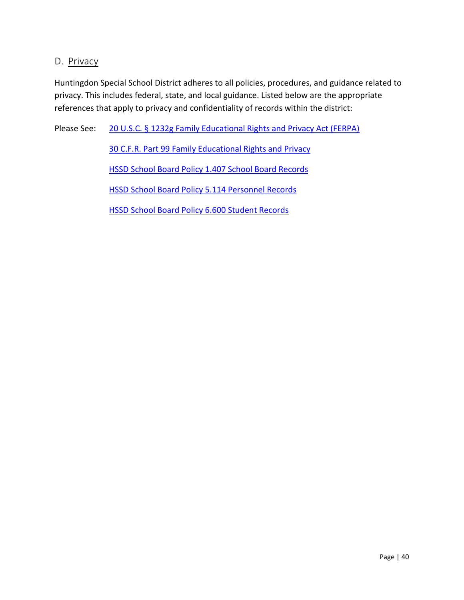## <span id="page-44-0"></span>D. Privacy

Huntingdon Special School District adheres to all policies, procedures, and guidance related to privacy. This includes federal, state, and local guidance. Listed below are the appropriate references that apply to privacy and confidentiality of records within the district:

Please See: 20 U.S.C. § [1232g Family Educational Rights and Privacy Act \(FERPA\)](https://www.gpo.gov/fdsys/pkg/USCODE-2011-title20/pdf/USCODE-2011-title20-chap31-subchapIII-part4-sec1232g.pdf)

[30 C.F.R. Part 99 Family Educational Rights and Privacy](http://www.ecfr.gov/cgi-bin/text-idx?tpl=/ecfrbrowse/Title34/34cfr99_main_02.tpl) [HSSD School Board Policy 1.407 School Board Records](http://images.pcmac.org/Uploads/TennesseeSBA/TennesseeSBA/Departments/DocumentsCategories/Documents/1407_66.pdf)

[HSSD School Board Policy 5.114 Personnel Records](http://images.pcmac.org/Uploads/TennesseeSBA/TennesseeSBA/Departments/DocumentsCategories/Documents/5114_62.pdf)

[HSSD School Board Policy 6.600 Student Records](http://images.pcmac.org/Uploads/TennesseeSBA/TennesseeSBA/Departments/DocumentsCategories/Documents/6600_64.pdf)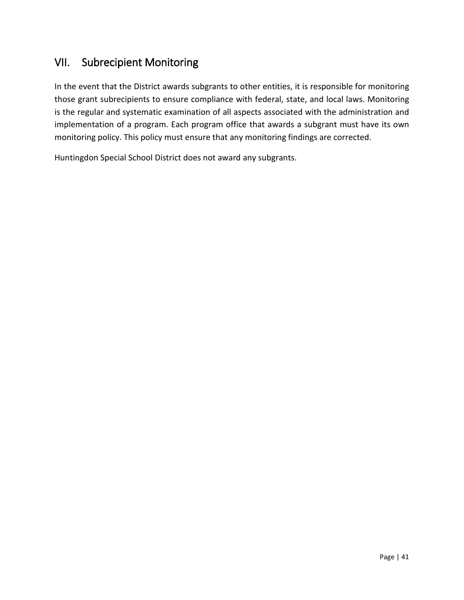# <span id="page-45-0"></span>VII. Subrecipient Monitoring

In the event that the District awards subgrants to other entities, it is responsible for monitoring those grant subrecipients to ensure compliance with federal, state, and local laws. Monitoring is the regular and systematic examination of all aspects associated with the administration and implementation of a program. Each program office that awards a subgrant must have its own monitoring policy. This policy must ensure that any monitoring findings are corrected.

Huntingdon Special School District does not award any subgrants.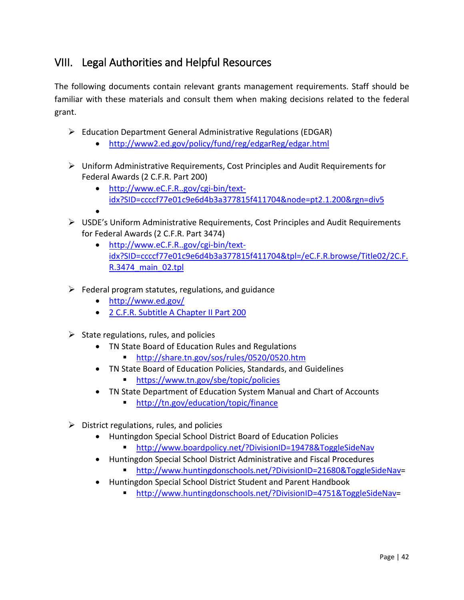# <span id="page-46-0"></span>VIII. Legal Authorities and Helpful Resources

The following documents contain relevant grants management requirements. Staff should be familiar with these materials and consult them when making decisions related to the federal grant.

- Education Department General Administrative Regulations (EDGAR)
	- <http://www2.ed.gov/policy/fund/reg/edgarReg/edgar.html>
- Uniform Administrative Requirements, Cost Principles and Audit Requirements for Federal Awards (2 C.F.R. Part 200)
	- [http://www.eC.F.R..gov/cgi-bin/text](http://www.ecfr.gov/cgi-bin/text-idx?SID=ccccf77e01c9e6d4b3a377815f411704&node=pt2.1.200&rgn=div5)[idx?SID=ccccf77e01c9e6d4b3a377815f411704&node=pt2.1.200&rgn=div5](http://www.ecfr.gov/cgi-bin/text-idx?SID=ccccf77e01c9e6d4b3a377815f411704&node=pt2.1.200&rgn=div5)
	- •
- $\triangleright$  USDE's Uniform Administrative Requirements, Cost Principles and Audit Requirements for Federal Awards (2 C.F.R. Part 3474)
	- [http://www.eC.F.R..gov/cgi-bin/text](http://www.ecfr.gov/cgi-bin/text-idx?SID=ccccf77e01c9e6d4b3a377815f411704&tpl=/ecfrbrowse/Title02/2cfr3474_main_02.tpl)[idx?SID=ccccf77e01c9e6d4b3a377815f411704&tpl=/eC.F.R.browse/Title02/2C.F.](http://www.ecfr.gov/cgi-bin/text-idx?SID=ccccf77e01c9e6d4b3a377815f411704&tpl=/ecfrbrowse/Title02/2cfr3474_main_02.tpl) [R.3474\\_main\\_02.tpl](http://www.ecfr.gov/cgi-bin/text-idx?SID=ccccf77e01c9e6d4b3a377815f411704&tpl=/ecfrbrowse/Title02/2cfr3474_main_02.tpl)
- $\triangleright$  Federal program statutes, regulations, and guidance
	- <http://www.ed.gov/>
	- [2 C.F.R. Subtitle A Chapter II Part 200](http://www.ecfr.gov/cgi-bin/retrieveECFR?gp=1&SID=16f21fd45807987712502dc8f049bc13&ty=HTML&h=L&mc=true&n=pt2.1.200&r=PART)
- $\triangleright$  State regulations, rules, and policies
	- TN State Board of Education Rules and Regulations
		- <http://share.tn.gov/sos/rules/0520/0520.htm>
	- TN State Board of Education Policies, Standards, and Guidelines
		- <https://www.tn.gov/sbe/topic/policies>
	- TN State Department of Education System Manual and Chart of Accounts
		- <http://tn.gov/education/topic/finance>
- $\triangleright$  District regulations, rules, and policies
	- Huntingdon Special School District Board of Education Policies
		- <http://www.boardpolicy.net/?DivisionID=19478&ToggleSideNav>
	- Huntingdon Special School District Administrative and Fiscal Procedures
		- [http://www.huntingdonschools.net/?DivisionID=21680&ToggleSideNav=](http://www.huntingdonschools.net/?DivisionID=21680&ToggleSideNav)
	- Huntingdon Special School District Student and Parent Handbook
		- [http://www.huntingdonschools.net/?DivisionID=4751&ToggleSideNav=](http://www.huntingdonschools.net/?DivisionID=4751&ToggleSideNav)